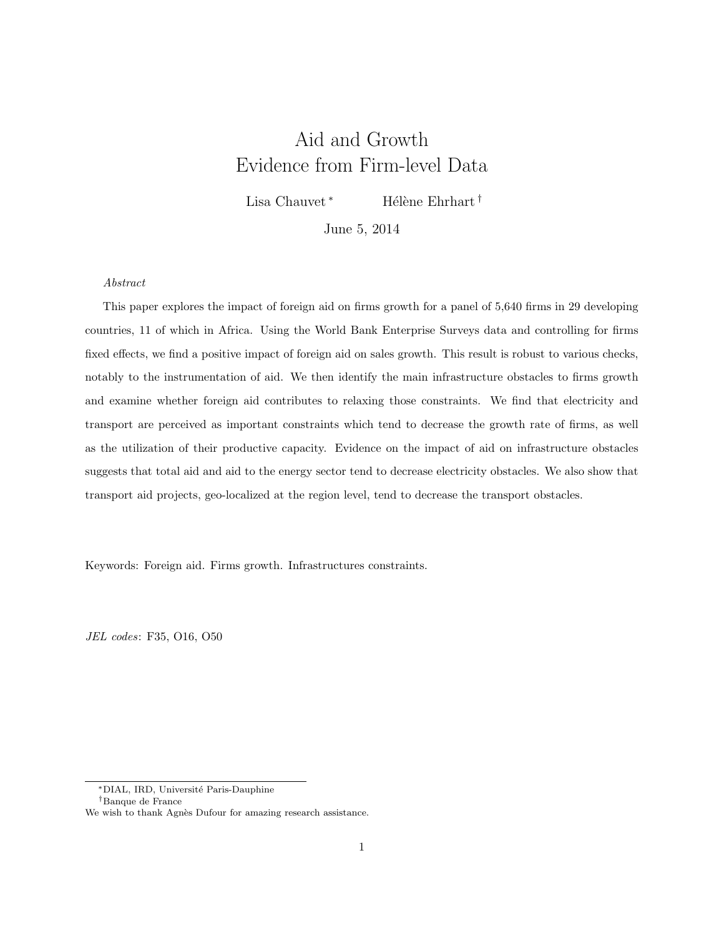# Aid and Growth Evidence from Firm-level Data

Lisa Chauvet<sup>\*</sup> Hélène Ehrhart †

June 5, 2014

#### Abstract

This paper explores the impact of foreign aid on firms growth for a panel of 5,640 firms in 29 developing countries, 11 of which in Africa. Using the World Bank Enterprise Surveys data and controlling for firms fixed effects, we find a positive impact of foreign aid on sales growth. This result is robust to various checks, notably to the instrumentation of aid. We then identify the main infrastructure obstacles to firms growth and examine whether foreign aid contributes to relaxing those constraints. We find that electricity and transport are perceived as important constraints which tend to decrease the growth rate of firms, as well as the utilization of their productive capacity. Evidence on the impact of aid on infrastructure obstacles suggests that total aid and aid to the energy sector tend to decrease electricity obstacles. We also show that transport aid projects, geo-localized at the region level, tend to decrease the transport obstacles.

Keywords: Foreign aid. Firms growth. Infrastructures constraints.

JEL codes: F35, O16, O50

<sup>∗</sup>DIAL, IRD, Universit´e Paris-Dauphine

<sup>†</sup>Banque de France

We wish to thank Agnès Dufour for amazing research assistance.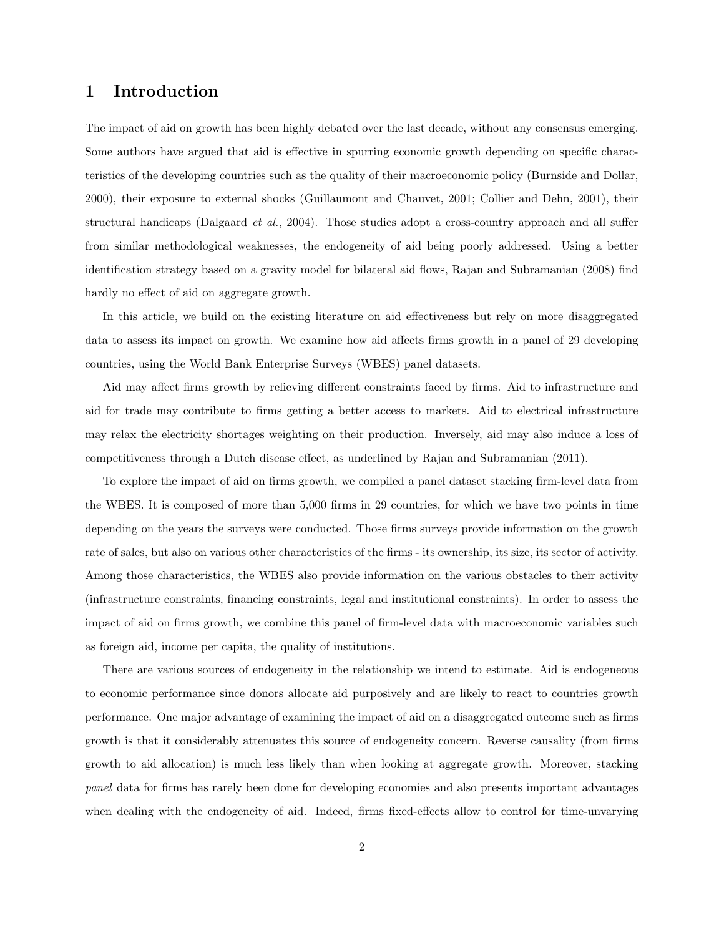## 1 Introduction

The impact of aid on growth has been highly debated over the last decade, without any consensus emerging. Some authors have argued that aid is effective in spurring economic growth depending on specific characteristics of the developing countries such as the quality of their macroeconomic policy (Burnside and Dollar, 2000), their exposure to external shocks (Guillaumont and Chauvet, 2001; Collier and Dehn, 2001), their structural handicaps (Dalgaard et al., 2004). Those studies adopt a cross-country approach and all suffer from similar methodological weaknesses, the endogeneity of aid being poorly addressed. Using a better identification strategy based on a gravity model for bilateral aid flows, Rajan and Subramanian (2008) find hardly no effect of aid on aggregate growth.

In this article, we build on the existing literature on aid effectiveness but rely on more disaggregated data to assess its impact on growth. We examine how aid affects firms growth in a panel of 29 developing countries, using the World Bank Enterprise Surveys (WBES) panel datasets.

Aid may affect firms growth by relieving different constraints faced by firms. Aid to infrastructure and aid for trade may contribute to firms getting a better access to markets. Aid to electrical infrastructure may relax the electricity shortages weighting on their production. Inversely, aid may also induce a loss of competitiveness through a Dutch disease effect, as underlined by Rajan and Subramanian (2011).

To explore the impact of aid on firms growth, we compiled a panel dataset stacking firm-level data from the WBES. It is composed of more than 5,000 firms in 29 countries, for which we have two points in time depending on the years the surveys were conducted. Those firms surveys provide information on the growth rate of sales, but also on various other characteristics of the firms - its ownership, its size, its sector of activity. Among those characteristics, the WBES also provide information on the various obstacles to their activity (infrastructure constraints, financing constraints, legal and institutional constraints). In order to assess the impact of aid on firms growth, we combine this panel of firm-level data with macroeconomic variables such as foreign aid, income per capita, the quality of institutions.

There are various sources of endogeneity in the relationship we intend to estimate. Aid is endogeneous to economic performance since donors allocate aid purposively and are likely to react to countries growth performance. One major advantage of examining the impact of aid on a disaggregated outcome such as firms growth is that it considerably attenuates this source of endogeneity concern. Reverse causality (from firms growth to aid allocation) is much less likely than when looking at aggregate growth. Moreover, stacking panel data for firms has rarely been done for developing economies and also presents important advantages when dealing with the endogeneity of aid. Indeed, firms fixed-effects allow to control for time-unvarying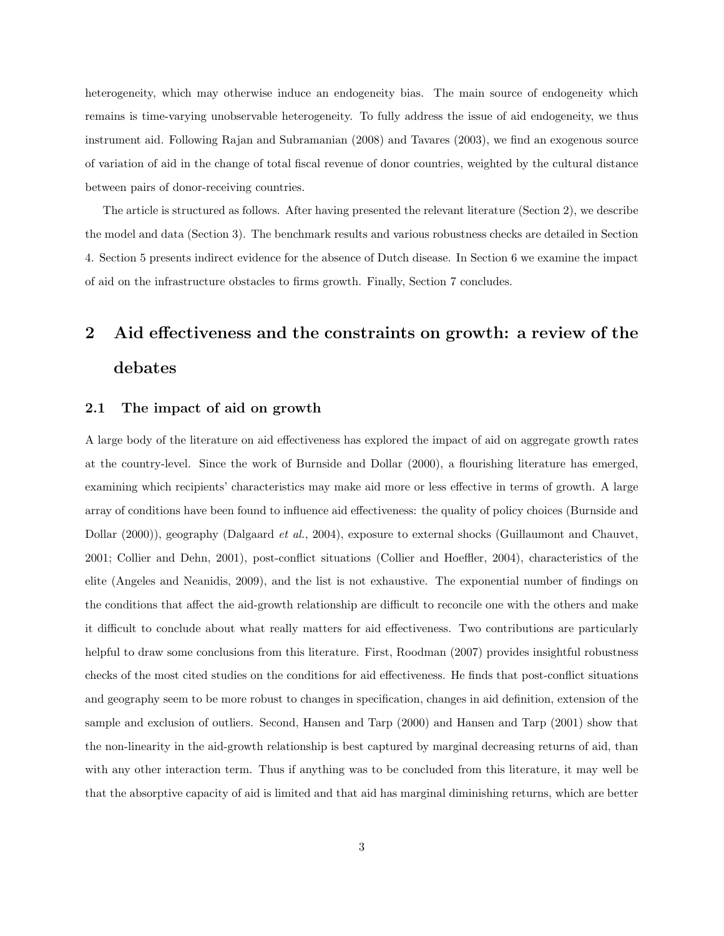heterogeneity, which may otherwise induce an endogeneity bias. The main source of endogeneity which remains is time-varying unobservable heterogeneity. To fully address the issue of aid endogeneity, we thus instrument aid. Following Rajan and Subramanian (2008) and Tavares (2003), we find an exogenous source of variation of aid in the change of total fiscal revenue of donor countries, weighted by the cultural distance between pairs of donor-receiving countries.

The article is structured as follows. After having presented the relevant literature (Section 2), we describe the model and data (Section 3). The benchmark results and various robustness checks are detailed in Section 4. Section 5 presents indirect evidence for the absence of Dutch disease. In Section 6 we examine the impact of aid on the infrastructure obstacles to firms growth. Finally, Section 7 concludes.

# 2 Aid effectiveness and the constraints on growth: a review of the debates

### 2.1 The impact of aid on growth

A large body of the literature on aid effectiveness has explored the impact of aid on aggregate growth rates at the country-level. Since the work of Burnside and Dollar (2000), a flourishing literature has emerged, examining which recipients' characteristics may make aid more or less effective in terms of growth. A large array of conditions have been found to influence aid effectiveness: the quality of policy choices (Burnside and Dollar (2000)), geography (Dalgaard et al., 2004), exposure to external shocks (Guillaumont and Chauvet, 2001; Collier and Dehn, 2001), post-conflict situations (Collier and Hoeffler, 2004), characteristics of the elite (Angeles and Neanidis, 2009), and the list is not exhaustive. The exponential number of findings on the conditions that affect the aid-growth relationship are difficult to reconcile one with the others and make it difficult to conclude about what really matters for aid effectiveness. Two contributions are particularly helpful to draw some conclusions from this literature. First, Roodman (2007) provides insightful robustness checks of the most cited studies on the conditions for aid effectiveness. He finds that post-conflict situations and geography seem to be more robust to changes in specification, changes in aid definition, extension of the sample and exclusion of outliers. Second, Hansen and Tarp (2000) and Hansen and Tarp (2001) show that the non-linearity in the aid-growth relationship is best captured by marginal decreasing returns of aid, than with any other interaction term. Thus if anything was to be concluded from this literature, it may well be that the absorptive capacity of aid is limited and that aid has marginal diminishing returns, which are better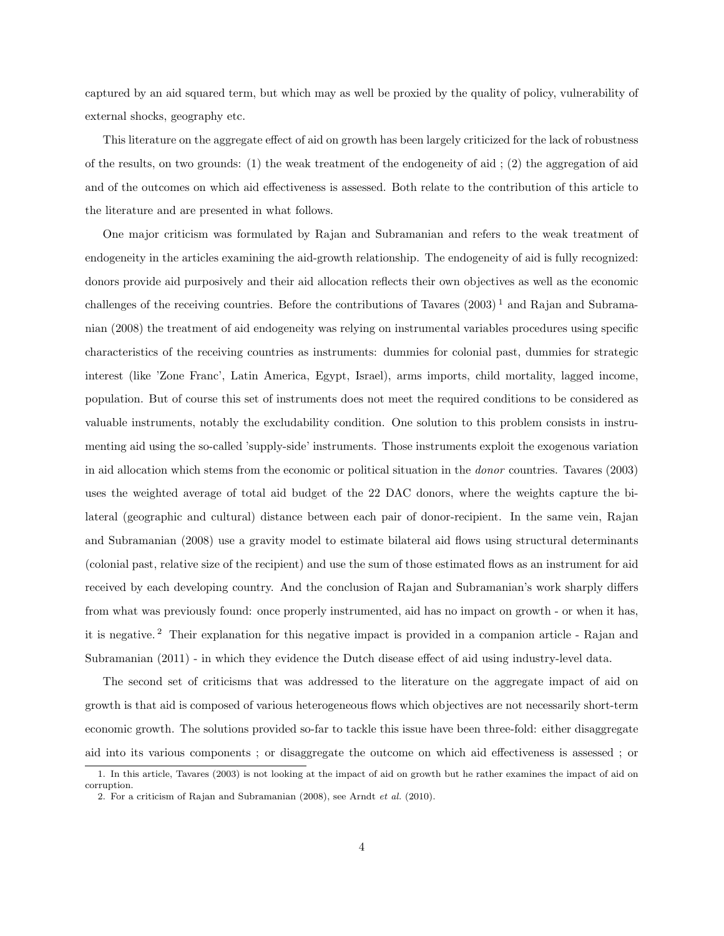captured by an aid squared term, but which may as well be proxied by the quality of policy, vulnerability of external shocks, geography etc.

This literature on the aggregate effect of aid on growth has been largely criticized for the lack of robustness of the results, on two grounds: (1) the weak treatment of the endogeneity of aid ; (2) the aggregation of aid and of the outcomes on which aid effectiveness is assessed. Both relate to the contribution of this article to the literature and are presented in what follows.

One major criticism was formulated by Rajan and Subramanian and refers to the weak treatment of endogeneity in the articles examining the aid-growth relationship. The endogeneity of aid is fully recognized: donors provide aid purposively and their aid allocation reflects their own objectives as well as the economic challenges of the receiving countries. Before the contributions of Tavares  $(2003)^{1}$  and Rajan and Subramanian (2008) the treatment of aid endogeneity was relying on instrumental variables procedures using specific characteristics of the receiving countries as instruments: dummies for colonial past, dummies for strategic interest (like 'Zone Franc', Latin America, Egypt, Israel), arms imports, child mortality, lagged income, population. But of course this set of instruments does not meet the required conditions to be considered as valuable instruments, notably the excludability condition. One solution to this problem consists in instrumenting aid using the so-called 'supply-side' instruments. Those instruments exploit the exogenous variation in aid allocation which stems from the economic or political situation in the donor countries. Tavares (2003) uses the weighted average of total aid budget of the 22 DAC donors, where the weights capture the bilateral (geographic and cultural) distance between each pair of donor-recipient. In the same vein, Rajan and Subramanian (2008) use a gravity model to estimate bilateral aid flows using structural determinants (colonial past, relative size of the recipient) and use the sum of those estimated flows as an instrument for aid received by each developing country. And the conclusion of Rajan and Subramanian's work sharply differs from what was previously found: once properly instrumented, aid has no impact on growth - or when it has, it is negative. <sup>2</sup> Their explanation for this negative impact is provided in a companion article - Rajan and Subramanian (2011) - in which they evidence the Dutch disease effect of aid using industry-level data.

The second set of criticisms that was addressed to the literature on the aggregate impact of aid on growth is that aid is composed of various heterogeneous flows which objectives are not necessarily short-term economic growth. The solutions provided so-far to tackle this issue have been three-fold: either disaggregate aid into its various components ; or disaggregate the outcome on which aid effectiveness is assessed ; or

<sup>1.</sup> In this article, Tavares (2003) is not looking at the impact of aid on growth but he rather examines the impact of aid on corruption.

<sup>2.</sup> For a criticism of Rajan and Subramanian (2008), see Arndt et al. (2010).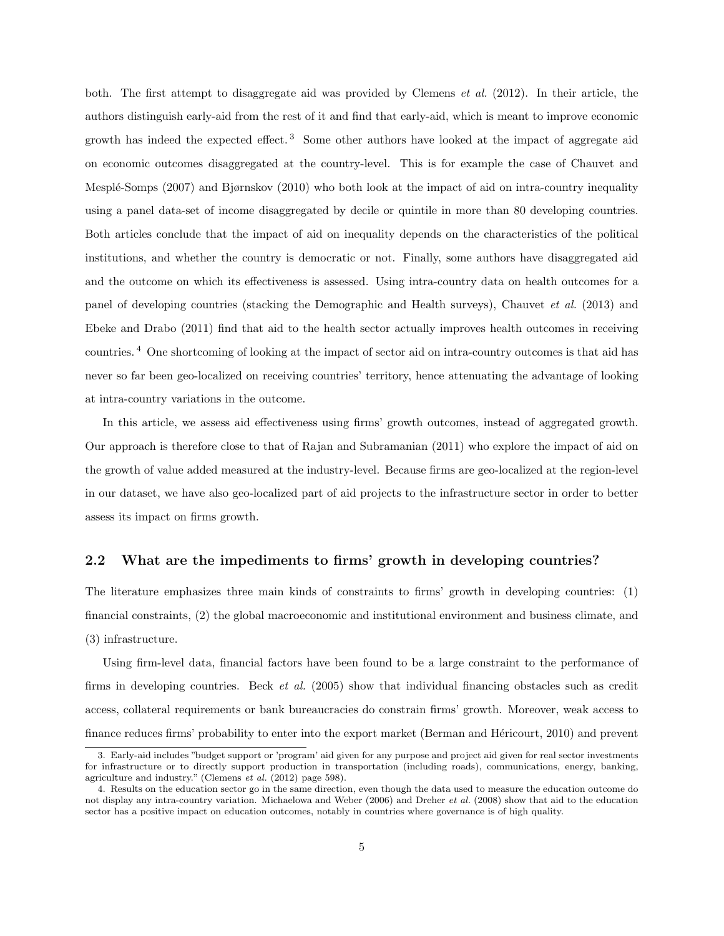both. The first attempt to disaggregate aid was provided by Clemens et al. (2012). In their article, the authors distinguish early-aid from the rest of it and find that early-aid, which is meant to improve economic growth has indeed the expected effect. <sup>3</sup> Some other authors have looked at the impact of aggregate aid on economic outcomes disaggregated at the country-level. This is for example the case of Chauvet and Mesplé-Somps (2007) and Bjørnskov (2010) who both look at the impact of aid on intra-country inequality using a panel data-set of income disaggregated by decile or quintile in more than 80 developing countries. Both articles conclude that the impact of aid on inequality depends on the characteristics of the political institutions, and whether the country is democratic or not. Finally, some authors have disaggregated aid and the outcome on which its effectiveness is assessed. Using intra-country data on health outcomes for a panel of developing countries (stacking the Demographic and Health surveys), Chauvet et al. (2013) and Ebeke and Drabo (2011) find that aid to the health sector actually improves health outcomes in receiving countries. <sup>4</sup> One shortcoming of looking at the impact of sector aid on intra-country outcomes is that aid has never so far been geo-localized on receiving countries' territory, hence attenuating the advantage of looking at intra-country variations in the outcome.

In this article, we assess aid effectiveness using firms' growth outcomes, instead of aggregated growth. Our approach is therefore close to that of Rajan and Subramanian (2011) who explore the impact of aid on the growth of value added measured at the industry-level. Because firms are geo-localized at the region-level in our dataset, we have also geo-localized part of aid projects to the infrastructure sector in order to better assess its impact on firms growth.

## 2.2 What are the impediments to firms' growth in developing countries?

The literature emphasizes three main kinds of constraints to firms' growth in developing countries: (1) financial constraints, (2) the global macroeconomic and institutional environment and business climate, and (3) infrastructure.

Using firm-level data, financial factors have been found to be a large constraint to the performance of firms in developing countries. Beck et al. (2005) show that individual financing obstacles such as credit access, collateral requirements or bank bureaucracies do constrain firms' growth. Moreover, weak access to finance reduces firms' probability to enter into the export market (Berman and Héricourt, 2010) and prevent

<sup>3.</sup> Early-aid includes "budget support or 'program' aid given for any purpose and project aid given for real sector investments for infrastructure or to directly support production in transportation (including roads), communications, energy, banking, agriculture and industry." (Clemens et al. (2012) page 598).

<sup>4.</sup> Results on the education sector go in the same direction, even though the data used to measure the education outcome do not display any intra-country variation. Michaelowa and Weber (2006) and Dreher et al. (2008) show that aid to the education sector has a positive impact on education outcomes, notably in countries where governance is of high quality.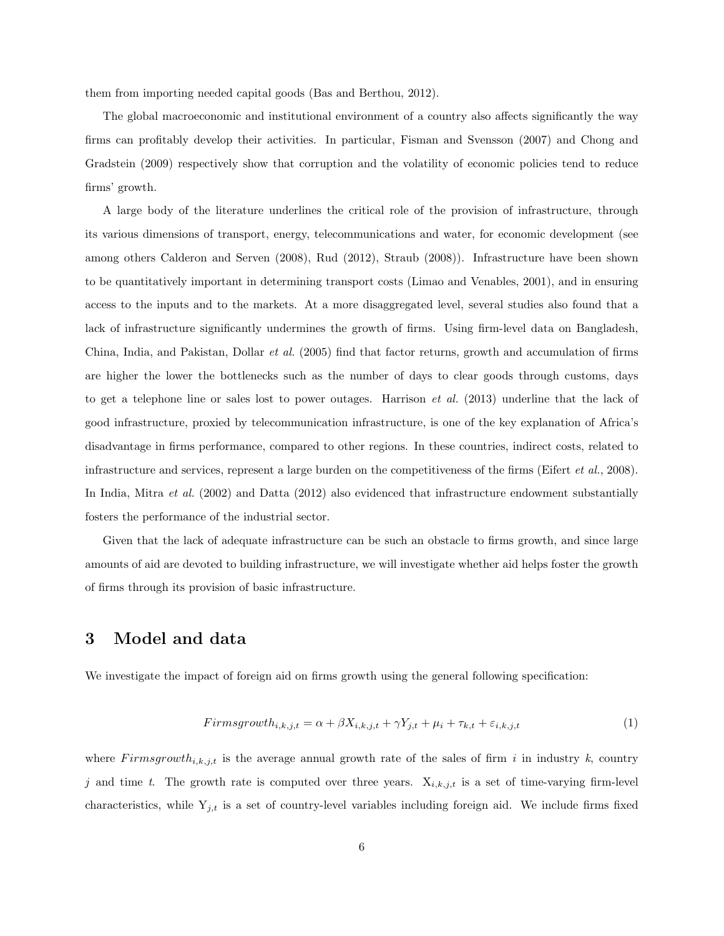them from importing needed capital goods (Bas and Berthou, 2012).

The global macroeconomic and institutional environment of a country also affects significantly the way firms can profitably develop their activities. In particular, Fisman and Svensson (2007) and Chong and Gradstein (2009) respectively show that corruption and the volatility of economic policies tend to reduce firms' growth.

A large body of the literature underlines the critical role of the provision of infrastructure, through its various dimensions of transport, energy, telecommunications and water, for economic development (see among others Calderon and Serven (2008), Rud (2012), Straub (2008)). Infrastructure have been shown to be quantitatively important in determining transport costs (Limao and Venables, 2001), and in ensuring access to the inputs and to the markets. At a more disaggregated level, several studies also found that a lack of infrastructure significantly undermines the growth of firms. Using firm-level data on Bangladesh, China, India, and Pakistan, Dollar et al. (2005) find that factor returns, growth and accumulation of firms are higher the lower the bottlenecks such as the number of days to clear goods through customs, days to get a telephone line or sales lost to power outages. Harrison et al. (2013) underline that the lack of good infrastructure, proxied by telecommunication infrastructure, is one of the key explanation of Africa's disadvantage in firms performance, compared to other regions. In these countries, indirect costs, related to infrastructure and services, represent a large burden on the competitiveness of the firms (Eifert et al., 2008). In India, Mitra et al. (2002) and Datta (2012) also evidenced that infrastructure endowment substantially fosters the performance of the industrial sector.

Given that the lack of adequate infrastructure can be such an obstacle to firms growth, and since large amounts of aid are devoted to building infrastructure, we will investigate whether aid helps foster the growth of firms through its provision of basic infrastructure.

## 3 Model and data

We investigate the impact of foreign aid on firms growth using the general following specification:

$$
Firmsgrowth_{i,k,j,t} = \alpha + \beta X_{i,k,j,t} + \gamma Y_{j,t} + \mu_i + \tau_{k,t} + \varepsilon_{i,k,j,t}
$$
\n
$$
\tag{1}
$$

where  $F \, \text{irms}$  is the average annual growth rate of the sales of firm i in industry k, country j and time t. The growth rate is computed over three years.  $X_{i,k,j,t}$  is a set of time-varying firm-level characteristics, while  $Y_{j,t}$  is a set of country-level variables including foreign aid. We include firms fixed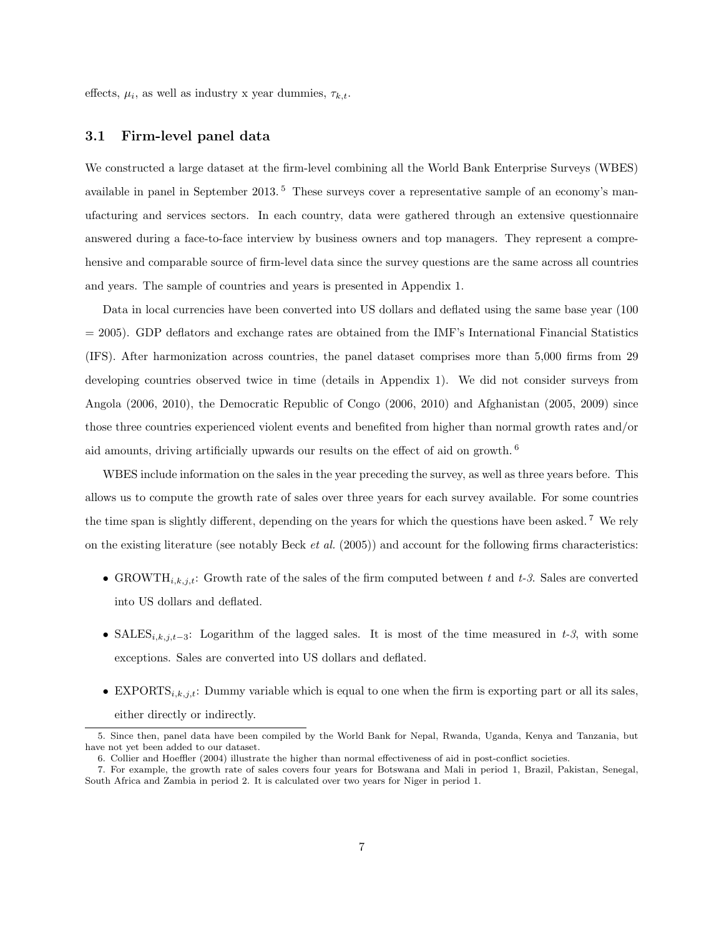effects,  $\mu_i$ , as well as industry x year dummies,  $\tau_{k,t}$ .

### 3.1 Firm-level panel data

We constructed a large dataset at the firm-level combining all the World Bank Enterprise Surveys (WBES) available in panel in September 2013.<sup>5</sup> These surveys cover a representative sample of an economy's manufacturing and services sectors. In each country, data were gathered through an extensive questionnaire answered during a face-to-face interview by business owners and top managers. They represent a comprehensive and comparable source of firm-level data since the survey questions are the same across all countries and years. The sample of countries and years is presented in Appendix 1.

Data in local currencies have been converted into US dollars and deflated using the same base year (100 = 2005). GDP deflators and exchange rates are obtained from the IMF's International Financial Statistics (IFS). After harmonization across countries, the panel dataset comprises more than 5,000 firms from 29 developing countries observed twice in time (details in Appendix 1). We did not consider surveys from Angola (2006, 2010), the Democratic Republic of Congo (2006, 2010) and Afghanistan (2005, 2009) since those three countries experienced violent events and benefited from higher than normal growth rates and/or aid amounts, driving artificially upwards our results on the effect of aid on growth. <sup>6</sup>

WBES include information on the sales in the year preceding the survey, as well as three years before. This allows us to compute the growth rate of sales over three years for each survey available. For some countries the time span is slightly different, depending on the years for which the questions have been asked. <sup>7</sup> We rely on the existing literature (see notably Beck *et al.* (2005)) and account for the following firms characteristics:

- GROWTH<sub>i,k,j,t</sub>: Growth rate of the sales of the firm computed between t and t-3. Sales are converted into US dollars and deflated.
- SALES<sub>i,k,j,t-3</sub>: Logarithm of the lagged sales. It is most of the time measured in t-3, with some exceptions. Sales are converted into US dollars and deflated.
- EXPORTS<sub>i,k,jt</sub>: Dummy variable which is equal to one when the firm is exporting part or all its sales, either directly or indirectly.

<sup>5.</sup> Since then, panel data have been compiled by the World Bank for Nepal, Rwanda, Uganda, Kenya and Tanzania, but have not yet been added to our dataset.

<sup>6.</sup> Collier and Hoeffler (2004) illustrate the higher than normal effectiveness of aid in post-conflict societies.

<sup>7.</sup> For example, the growth rate of sales covers four years for Botswana and Mali in period 1, Brazil, Pakistan, Senegal, South Africa and Zambia in period 2. It is calculated over two years for Niger in period 1.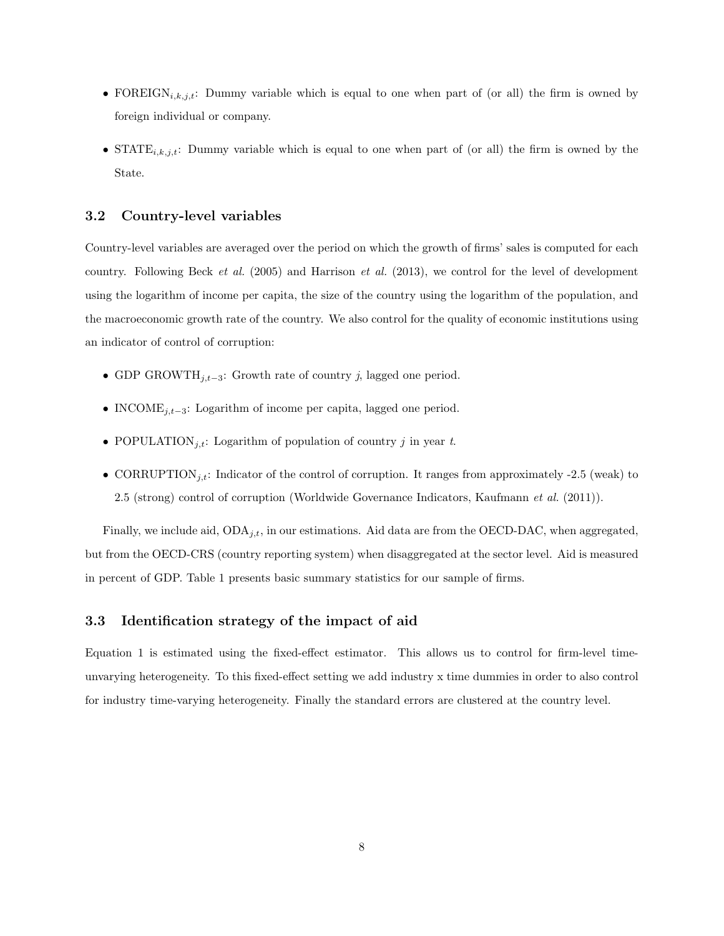- FOREIGN<sub>i,k,j,t</sub>: Dummy variable which is equal to one when part of (or all) the firm is owned by foreign individual or company.
- STATE<sub>i,k,j,t</sub>: Dummy variable which is equal to one when part of (or all) the firm is owned by the State.

#### 3.2 Country-level variables

Country-level variables are averaged over the period on which the growth of firms' sales is computed for each country. Following Beck et al.  $(2005)$  and Harrison et al.  $(2013)$ , we control for the level of development using the logarithm of income per capita, the size of the country using the logarithm of the population, and the macroeconomic growth rate of the country. We also control for the quality of economic institutions using an indicator of control of corruption:

- GDP GROWTH<sub>j,t−3</sub>: Growth rate of country j, lagged one period.
- INCOME<sub>j,t−3</sub>: Logarithm of income per capita, lagged one period.
- POPULATION<sub>j,t</sub>: Logarithm of population of country j in year t.
- CORRUPTION<sub>i,t</sub>: Indicator of the control of corruption. It ranges from approximately -2.5 (weak) to 2.5 (strong) control of corruption (Worldwide Governance Indicators, Kaufmann *et al.* (2011)).

Finally, we include aid,  $ODA_{j,t}$ , in our estimations. Aid data are from the OECD-DAC, when aggregated, but from the OECD-CRS (country reporting system) when disaggregated at the sector level. Aid is measured in percent of GDP. Table 1 presents basic summary statistics for our sample of firms.

### 3.3 Identification strategy of the impact of aid

Equation 1 is estimated using the fixed-effect estimator. This allows us to control for firm-level timeunvarying heterogeneity. To this fixed-effect setting we add industry x time dummies in order to also control for industry time-varying heterogeneity. Finally the standard errors are clustered at the country level.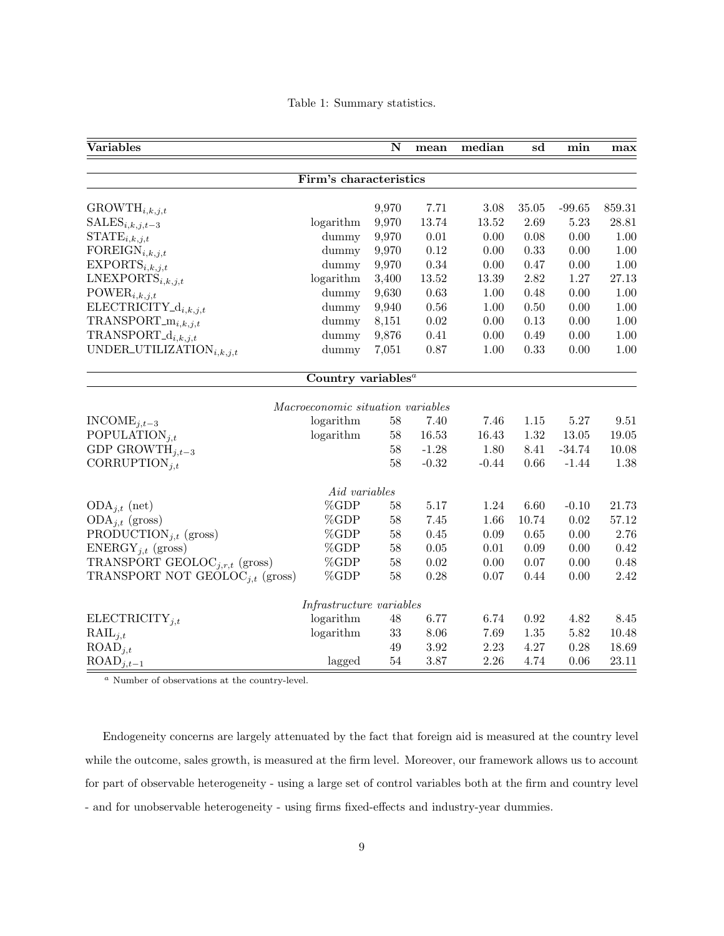Table 1: Summary statistics.

| Variables                                                                                                                                                                                                                                                                                                                                                                                                                                                                                                                                                                                                                                                                                                                                                                                                                                                                                                                                                                                                                                                                                                                                                                                                                                                                                                                                                                                                                                                                                                                                                                                                                                                                                                                                                                                                                                                                                                                                                                                                                                                                                                                                                                                                                                                                                                            |        | $\overline{\mathbf{N}}$ | mean | median | sd   | min  | max   |
|----------------------------------------------------------------------------------------------------------------------------------------------------------------------------------------------------------------------------------------------------------------------------------------------------------------------------------------------------------------------------------------------------------------------------------------------------------------------------------------------------------------------------------------------------------------------------------------------------------------------------------------------------------------------------------------------------------------------------------------------------------------------------------------------------------------------------------------------------------------------------------------------------------------------------------------------------------------------------------------------------------------------------------------------------------------------------------------------------------------------------------------------------------------------------------------------------------------------------------------------------------------------------------------------------------------------------------------------------------------------------------------------------------------------------------------------------------------------------------------------------------------------------------------------------------------------------------------------------------------------------------------------------------------------------------------------------------------------------------------------------------------------------------------------------------------------------------------------------------------------------------------------------------------------------------------------------------------------------------------------------------------------------------------------------------------------------------------------------------------------------------------------------------------------------------------------------------------------------------------------------------------------------------------------------------------------|--------|-------------------------|------|--------|------|------|-------|
| Firm's characteristics<br>859.31<br>$\text{GROWTH}_{i,k,j,t}$<br>9,970<br>3.08<br>$35.05\,$<br>$-99.65$<br>7.71<br>$SALES_{i,k,j,t-3}$<br>9,970<br>13.74<br>2.69<br>5.23<br>$28.81\,$<br>logarithm<br>13.52<br>$STATE_{i,k,j,t}$<br>9,970<br>$0.01\,$<br>0.00<br>0.08<br>0.00<br>$1.00\,$<br>dummy<br>FOREIGN <sub>i,k,j,t</sub><br>9,970<br>0.12<br>0.00<br>0.33<br>$0.00\,$<br>1.00<br>dummy<br>EXPORTS <sub>i,k,j,t</sub><br>0.34<br>dummy<br>9,970<br>$0.00\,$<br>0.47<br>$0.00\,$<br>$1.00\,$<br>$LNEXPORTS_{i,k,j,t}$<br>logarithm<br>13.52<br>1.27<br>3,400<br>13.39<br>2.82<br>27.13<br>POWER <sub>i,k,j,t</sub><br>9,630<br>0.63<br>dummy<br>$1.00\,$<br>0.48<br>0.00<br>1.00<br>$\text{ELECTRICITY}_{-d_{i,k,j,t}}$<br>9,940<br>$0.56\,$<br>$0.50\,$<br>0.00<br>dummy<br>1.00<br>1.00<br>$TRANSPORT\_m_{i,k,j,t}$<br>0.02<br>dummy<br>8,151<br>0.00<br>0.13<br>0.00<br>1.00<br>$TRANSPORT\_d_{i,k,j,t}$<br>9,876<br>0.41<br>0.00<br>dummy<br>0.00<br>0.49<br>1.00<br>UNDER_UTILIZATION $_{i,k,j,t}$<br>0.87<br>0.33<br>7,051<br>0.00<br>1.00<br>dummy<br>1.00<br>Country variables <sup><math>a</math></sup><br>Macroeconomic situation variables<br>$INCODE_{j,t-3}$<br>logarithm<br>$58\,$<br>7.46<br>5.27<br>7.40<br>1.15<br>9.51<br>POPULATION <sub>j,t</sub><br>logarithm<br>13.05<br>58<br>16.53<br>16.43<br>1.32<br>19.05<br>GDP GROWTH $_{j,t-3}$<br>$58\,$<br>$-34.74$<br>$-1.28$<br>1.80<br>8.41<br>10.08<br>58<br>CORRUPTION <sub>it</sub><br>$-0.32$<br>$-0.44$<br>0.66<br>$-1.44$<br>1.38<br>Aid variables<br>%GDP<br>$ODA_{i,t}$ (net)<br>58<br>5.17<br>1.24<br>6.60<br>$-0.10$<br>21.73<br>%GDP<br>58<br>7.45<br>1.66<br>0.02<br>$ODA_{j,t}$ (gross)<br>10.74<br>$57.12\,$<br>%GDP<br>PRODUCTION <sub>j,t</sub> (gross)<br>58<br>0.45<br>$0.09\,$<br>$0.65\,$<br>2.76<br>0.00<br>ENERGY <sub>j,t</sub> (gross)<br>%GDP<br>58<br>0.05<br>0.01<br>0.09<br>0.42<br>0.00<br>TRANSPORT GEOLOC <sub>j,r,t</sub> (gross)<br>%GDP<br>0.02<br>58<br>0.00<br>0.07<br>0.00<br>0.48<br>%GDP<br>0.28<br>2.42<br>TRANSPORT NOT GEOLOC <sub>it</sub> (gross)<br>58<br>0.07<br>0.44<br>0.00<br>Infrastructure variables<br>logarithm<br>6.77<br>ELECTRICITY <sub>j,t</sub><br>48<br>6.74<br>0.92<br>4.82<br>8.45<br>logarithm<br>$33\,$<br>8.06<br>7.69<br>1.35<br>$5.82\,$<br>10.48<br>$\text{RAIL}_{j,t}$ |        |                         |      |        |      |      |       |
|                                                                                                                                                                                                                                                                                                                                                                                                                                                                                                                                                                                                                                                                                                                                                                                                                                                                                                                                                                                                                                                                                                                                                                                                                                                                                                                                                                                                                                                                                                                                                                                                                                                                                                                                                                                                                                                                                                                                                                                                                                                                                                                                                                                                                                                                                                                      |        |                         |      |        |      |      |       |
|                                                                                                                                                                                                                                                                                                                                                                                                                                                                                                                                                                                                                                                                                                                                                                                                                                                                                                                                                                                                                                                                                                                                                                                                                                                                                                                                                                                                                                                                                                                                                                                                                                                                                                                                                                                                                                                                                                                                                                                                                                                                                                                                                                                                                                                                                                                      |        |                         |      |        |      |      |       |
|                                                                                                                                                                                                                                                                                                                                                                                                                                                                                                                                                                                                                                                                                                                                                                                                                                                                                                                                                                                                                                                                                                                                                                                                                                                                                                                                                                                                                                                                                                                                                                                                                                                                                                                                                                                                                                                                                                                                                                                                                                                                                                                                                                                                                                                                                                                      |        |                         |      |        |      |      |       |
|                                                                                                                                                                                                                                                                                                                                                                                                                                                                                                                                                                                                                                                                                                                                                                                                                                                                                                                                                                                                                                                                                                                                                                                                                                                                                                                                                                                                                                                                                                                                                                                                                                                                                                                                                                                                                                                                                                                                                                                                                                                                                                                                                                                                                                                                                                                      |        |                         |      |        |      |      |       |
|                                                                                                                                                                                                                                                                                                                                                                                                                                                                                                                                                                                                                                                                                                                                                                                                                                                                                                                                                                                                                                                                                                                                                                                                                                                                                                                                                                                                                                                                                                                                                                                                                                                                                                                                                                                                                                                                                                                                                                                                                                                                                                                                                                                                                                                                                                                      |        |                         |      |        |      |      |       |
|                                                                                                                                                                                                                                                                                                                                                                                                                                                                                                                                                                                                                                                                                                                                                                                                                                                                                                                                                                                                                                                                                                                                                                                                                                                                                                                                                                                                                                                                                                                                                                                                                                                                                                                                                                                                                                                                                                                                                                                                                                                                                                                                                                                                                                                                                                                      |        |                         |      |        |      |      |       |
|                                                                                                                                                                                                                                                                                                                                                                                                                                                                                                                                                                                                                                                                                                                                                                                                                                                                                                                                                                                                                                                                                                                                                                                                                                                                                                                                                                                                                                                                                                                                                                                                                                                                                                                                                                                                                                                                                                                                                                                                                                                                                                                                                                                                                                                                                                                      |        |                         |      |        |      |      |       |
|                                                                                                                                                                                                                                                                                                                                                                                                                                                                                                                                                                                                                                                                                                                                                                                                                                                                                                                                                                                                                                                                                                                                                                                                                                                                                                                                                                                                                                                                                                                                                                                                                                                                                                                                                                                                                                                                                                                                                                                                                                                                                                                                                                                                                                                                                                                      |        |                         |      |        |      |      |       |
|                                                                                                                                                                                                                                                                                                                                                                                                                                                                                                                                                                                                                                                                                                                                                                                                                                                                                                                                                                                                                                                                                                                                                                                                                                                                                                                                                                                                                                                                                                                                                                                                                                                                                                                                                                                                                                                                                                                                                                                                                                                                                                                                                                                                                                                                                                                      |        |                         |      |        |      |      |       |
|                                                                                                                                                                                                                                                                                                                                                                                                                                                                                                                                                                                                                                                                                                                                                                                                                                                                                                                                                                                                                                                                                                                                                                                                                                                                                                                                                                                                                                                                                                                                                                                                                                                                                                                                                                                                                                                                                                                                                                                                                                                                                                                                                                                                                                                                                                                      |        |                         |      |        |      |      |       |
|                                                                                                                                                                                                                                                                                                                                                                                                                                                                                                                                                                                                                                                                                                                                                                                                                                                                                                                                                                                                                                                                                                                                                                                                                                                                                                                                                                                                                                                                                                                                                                                                                                                                                                                                                                                                                                                                                                                                                                                                                                                                                                                                                                                                                                                                                                                      |        |                         |      |        |      |      |       |
|                                                                                                                                                                                                                                                                                                                                                                                                                                                                                                                                                                                                                                                                                                                                                                                                                                                                                                                                                                                                                                                                                                                                                                                                                                                                                                                                                                                                                                                                                                                                                                                                                                                                                                                                                                                                                                                                                                                                                                                                                                                                                                                                                                                                                                                                                                                      |        |                         |      |        |      |      |       |
|                                                                                                                                                                                                                                                                                                                                                                                                                                                                                                                                                                                                                                                                                                                                                                                                                                                                                                                                                                                                                                                                                                                                                                                                                                                                                                                                                                                                                                                                                                                                                                                                                                                                                                                                                                                                                                                                                                                                                                                                                                                                                                                                                                                                                                                                                                                      |        |                         |      |        |      |      |       |
|                                                                                                                                                                                                                                                                                                                                                                                                                                                                                                                                                                                                                                                                                                                                                                                                                                                                                                                                                                                                                                                                                                                                                                                                                                                                                                                                                                                                                                                                                                                                                                                                                                                                                                                                                                                                                                                                                                                                                                                                                                                                                                                                                                                                                                                                                                                      |        |                         |      |        |      |      |       |
|                                                                                                                                                                                                                                                                                                                                                                                                                                                                                                                                                                                                                                                                                                                                                                                                                                                                                                                                                                                                                                                                                                                                                                                                                                                                                                                                                                                                                                                                                                                                                                                                                                                                                                                                                                                                                                                                                                                                                                                                                                                                                                                                                                                                                                                                                                                      |        |                         |      |        |      |      |       |
|                                                                                                                                                                                                                                                                                                                                                                                                                                                                                                                                                                                                                                                                                                                                                                                                                                                                                                                                                                                                                                                                                                                                                                                                                                                                                                                                                                                                                                                                                                                                                                                                                                                                                                                                                                                                                                                                                                                                                                                                                                                                                                                                                                                                                                                                                                                      |        |                         |      |        |      |      |       |
|                                                                                                                                                                                                                                                                                                                                                                                                                                                                                                                                                                                                                                                                                                                                                                                                                                                                                                                                                                                                                                                                                                                                                                                                                                                                                                                                                                                                                                                                                                                                                                                                                                                                                                                                                                                                                                                                                                                                                                                                                                                                                                                                                                                                                                                                                                                      |        |                         |      |        |      |      |       |
|                                                                                                                                                                                                                                                                                                                                                                                                                                                                                                                                                                                                                                                                                                                                                                                                                                                                                                                                                                                                                                                                                                                                                                                                                                                                                                                                                                                                                                                                                                                                                                                                                                                                                                                                                                                                                                                                                                                                                                                                                                                                                                                                                                                                                                                                                                                      |        |                         |      |        |      |      |       |
|                                                                                                                                                                                                                                                                                                                                                                                                                                                                                                                                                                                                                                                                                                                                                                                                                                                                                                                                                                                                                                                                                                                                                                                                                                                                                                                                                                                                                                                                                                                                                                                                                                                                                                                                                                                                                                                                                                                                                                                                                                                                                                                                                                                                                                                                                                                      |        |                         |      |        |      |      |       |
|                                                                                                                                                                                                                                                                                                                                                                                                                                                                                                                                                                                                                                                                                                                                                                                                                                                                                                                                                                                                                                                                                                                                                                                                                                                                                                                                                                                                                                                                                                                                                                                                                                                                                                                                                                                                                                                                                                                                                                                                                                                                                                                                                                                                                                                                                                                      |        |                         |      |        |      |      |       |
|                                                                                                                                                                                                                                                                                                                                                                                                                                                                                                                                                                                                                                                                                                                                                                                                                                                                                                                                                                                                                                                                                                                                                                                                                                                                                                                                                                                                                                                                                                                                                                                                                                                                                                                                                                                                                                                                                                                                                                                                                                                                                                                                                                                                                                                                                                                      |        |                         |      |        |      |      |       |
|                                                                                                                                                                                                                                                                                                                                                                                                                                                                                                                                                                                                                                                                                                                                                                                                                                                                                                                                                                                                                                                                                                                                                                                                                                                                                                                                                                                                                                                                                                                                                                                                                                                                                                                                                                                                                                                                                                                                                                                                                                                                                                                                                                                                                                                                                                                      |        |                         |      |        |      |      |       |
|                                                                                                                                                                                                                                                                                                                                                                                                                                                                                                                                                                                                                                                                                                                                                                                                                                                                                                                                                                                                                                                                                                                                                                                                                                                                                                                                                                                                                                                                                                                                                                                                                                                                                                                                                                                                                                                                                                                                                                                                                                                                                                                                                                                                                                                                                                                      |        |                         |      |        |      |      |       |
|                                                                                                                                                                                                                                                                                                                                                                                                                                                                                                                                                                                                                                                                                                                                                                                                                                                                                                                                                                                                                                                                                                                                                                                                                                                                                                                                                                                                                                                                                                                                                                                                                                                                                                                                                                                                                                                                                                                                                                                                                                                                                                                                                                                                                                                                                                                      |        |                         |      |        |      |      |       |
|                                                                                                                                                                                                                                                                                                                                                                                                                                                                                                                                                                                                                                                                                                                                                                                                                                                                                                                                                                                                                                                                                                                                                                                                                                                                                                                                                                                                                                                                                                                                                                                                                                                                                                                                                                                                                                                                                                                                                                                                                                                                                                                                                                                                                                                                                                                      |        |                         |      |        |      |      |       |
|                                                                                                                                                                                                                                                                                                                                                                                                                                                                                                                                                                                                                                                                                                                                                                                                                                                                                                                                                                                                                                                                                                                                                                                                                                                                                                                                                                                                                                                                                                                                                                                                                                                                                                                                                                                                                                                                                                                                                                                                                                                                                                                                                                                                                                                                                                                      |        |                         |      |        |      |      |       |
|                                                                                                                                                                                                                                                                                                                                                                                                                                                                                                                                                                                                                                                                                                                                                                                                                                                                                                                                                                                                                                                                                                                                                                                                                                                                                                                                                                                                                                                                                                                                                                                                                                                                                                                                                                                                                                                                                                                                                                                                                                                                                                                                                                                                                                                                                                                      |        |                         |      |        |      |      |       |
|                                                                                                                                                                                                                                                                                                                                                                                                                                                                                                                                                                                                                                                                                                                                                                                                                                                                                                                                                                                                                                                                                                                                                                                                                                                                                                                                                                                                                                                                                                                                                                                                                                                                                                                                                                                                                                                                                                                                                                                                                                                                                                                                                                                                                                                                                                                      |        |                         |      |        |      |      |       |
|                                                                                                                                                                                                                                                                                                                                                                                                                                                                                                                                                                                                                                                                                                                                                                                                                                                                                                                                                                                                                                                                                                                                                                                                                                                                                                                                                                                                                                                                                                                                                                                                                                                                                                                                                                                                                                                                                                                                                                                                                                                                                                                                                                                                                                                                                                                      |        |                         |      |        |      |      |       |
| $\text{ROAD}_{j,t}$                                                                                                                                                                                                                                                                                                                                                                                                                                                                                                                                                                                                                                                                                                                                                                                                                                                                                                                                                                                                                                                                                                                                                                                                                                                                                                                                                                                                                                                                                                                                                                                                                                                                                                                                                                                                                                                                                                                                                                                                                                                                                                                                                                                                                                                                                                  |        | 49                      | 3.92 | 2.23   | 4.27 | 0.28 | 18.69 |
| $\text{ROAD}_{j,t-1}$                                                                                                                                                                                                                                                                                                                                                                                                                                                                                                                                                                                                                                                                                                                                                                                                                                                                                                                                                                                                                                                                                                                                                                                                                                                                                                                                                                                                                                                                                                                                                                                                                                                                                                                                                                                                                                                                                                                                                                                                                                                                                                                                                                                                                                                                                                | lagged | $54\,$                  | 3.87 | 2.26   | 4.74 | 0.06 | 23.11 |

<sup>a</sup> Number of observations at the country-level.

Endogeneity concerns are largely attenuated by the fact that foreign aid is measured at the country level while the outcome, sales growth, is measured at the firm level. Moreover, our framework allows us to account for part of observable heterogeneity - using a large set of control variables both at the firm and country level - and for unobservable heterogeneity - using firms fixed-effects and industry-year dummies.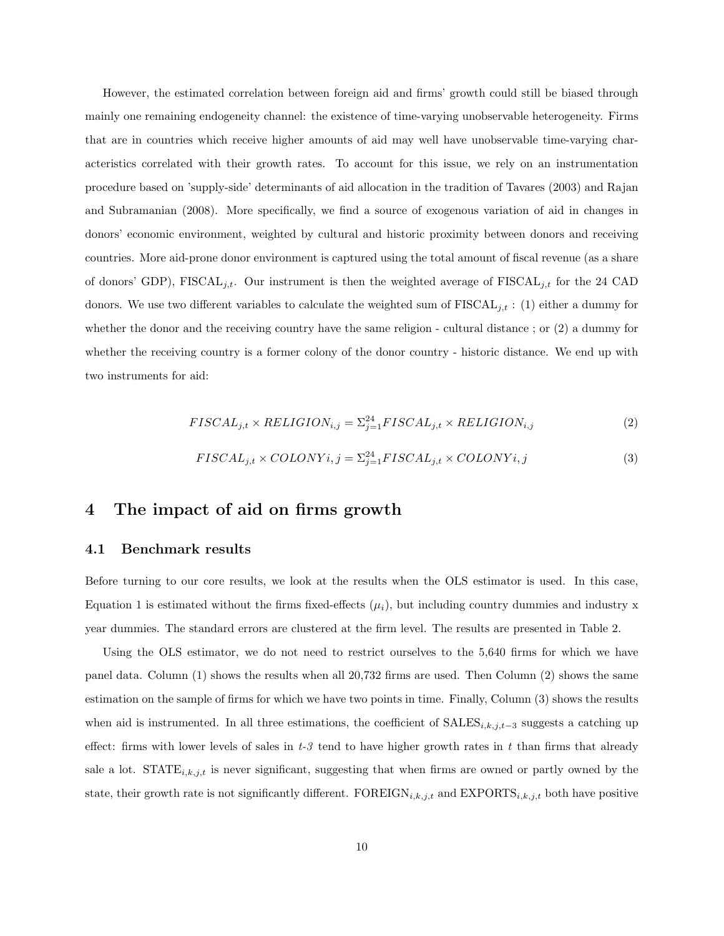However, the estimated correlation between foreign aid and firms' growth could still be biased through mainly one remaining endogeneity channel: the existence of time-varying unobservable heterogeneity. Firms that are in countries which receive higher amounts of aid may well have unobservable time-varying characteristics correlated with their growth rates. To account for this issue, we rely on an instrumentation procedure based on 'supply-side' determinants of aid allocation in the tradition of Tavares (2003) and Rajan and Subramanian (2008). More specifically, we find a source of exogenous variation of aid in changes in donors' economic environment, weighted by cultural and historic proximity between donors and receiving countries. More aid-prone donor environment is captured using the total amount of fiscal revenue (as a share of donors' GDP), FISCAL<sub>j,t</sub>. Our instrument is then the weighted average of FISCAL<sub>j,t</sub> for the 24 CAD donors. We use two different variables to calculate the weighted sum of  $FISCAL<sub>j,t</sub>$ : (1) either a dummy for whether the donor and the receiving country have the same religion - cultural distance ; or (2) a dummy for whether the receiving country is a former colony of the donor country - historic distance. We end up with two instruments for aid:

$$
FISCAL_{j,t} \times RELIGION_{i,j} = \sum_{j=1}^{24} FISCAL_{j,t} \times RELIGION_{i,j}
$$
 (2)

$$
FISCAL_{j,t} \times COLONYi, j = \sum_{j=1}^{24} FISCAL_{j,t} \times COLONYi, j
$$
\n(3)

## 4 The impact of aid on firms growth

#### 4.1 Benchmark results

Before turning to our core results, we look at the results when the OLS estimator is used. In this case, Equation 1 is estimated without the firms fixed-effects  $(\mu_i)$ , but including country dummies and industry x year dummies. The standard errors are clustered at the firm level. The results are presented in Table 2.

Using the OLS estimator, we do not need to restrict ourselves to the 5,640 firms for which we have panel data. Column (1) shows the results when all 20,732 firms are used. Then Column (2) shows the same estimation on the sample of firms for which we have two points in time. Finally, Column (3) shows the results when aid is instrumented. In all three estimations, the coefficient of  $SALES_{i,k,j,t-3}$  suggests a catching up effect: firms with lower levels of sales in  $t-3$  tend to have higher growth rates in t than firms that already sale a lot.  $STATE_{i,k,j,t}$  is never significant, suggesting that when firms are owned or partly owned by the state, their growth rate is not significantly different.  $\text{FOREIGN}_{i,k,j,t}$  and  $\text{EXPORTS}_{i,k,j,t}$  both have positive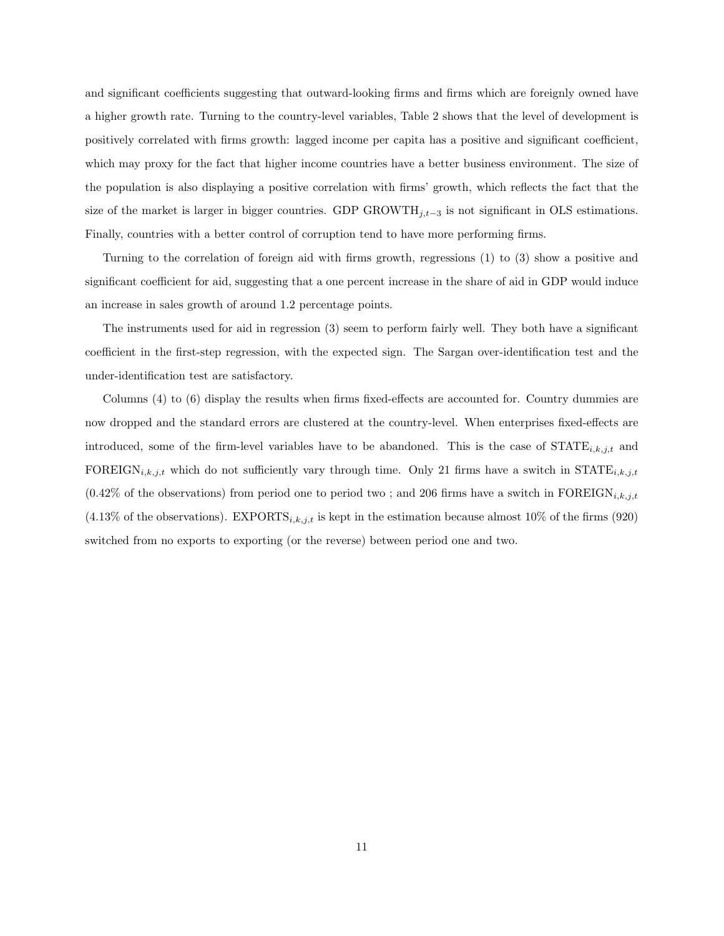and significant coefficients suggesting that outward-looking firms and firms which are foreignly owned have a higher growth rate. Turning to the country-level variables, Table 2 shows that the level of development is positively correlated with firms growth: lagged income per capita has a positive and significant coefficient, which may proxy for the fact that higher income countries have a better business environment. The size of the population is also displaying a positive correlation with firms' growth, which reflects the fact that the size of the market is larger in bigger countries. GDP GROWTH $_{j,t-3}$  is not significant in OLS estimations. Finally, countries with a better control of corruption tend to have more performing firms.

Turning to the correlation of foreign aid with firms growth, regressions (1) to (3) show a positive and significant coefficient for aid, suggesting that a one percent increase in the share of aid in GDP would induce an increase in sales growth of around 1.2 percentage points.

The instruments used for aid in regression (3) seem to perform fairly well. They both have a significant coefficient in the first-step regression, with the expected sign. The Sargan over-identification test and the under-identification test are satisfactory.

Columns (4) to (6) display the results when firms fixed-effects are accounted for. Country dummies are now dropped and the standard errors are clustered at the country-level. When enterprises fixed-effects are introduced, some of the firm-level variables have to be abandoned. This is the case of  $STATE_{i,k,j,t}$  and FOREIGN<sub>i,k,j,t</sub> which do not sufficiently vary through time. Only 21 firms have a switch in STATE<sub>i,k,j,t</sub>  $(0.42\%$  of the observations) from period one to period two; and 206 firms have a switch in FOREIGN<sub>i,k,j,t</sub>  $(4.13\% \text{ of the observations}).$  EXPORTS<sub>i,k,j,t</sub> is kept in the estimation because almost 10% of the firms (920) switched from no exports to exporting (or the reverse) between period one and two.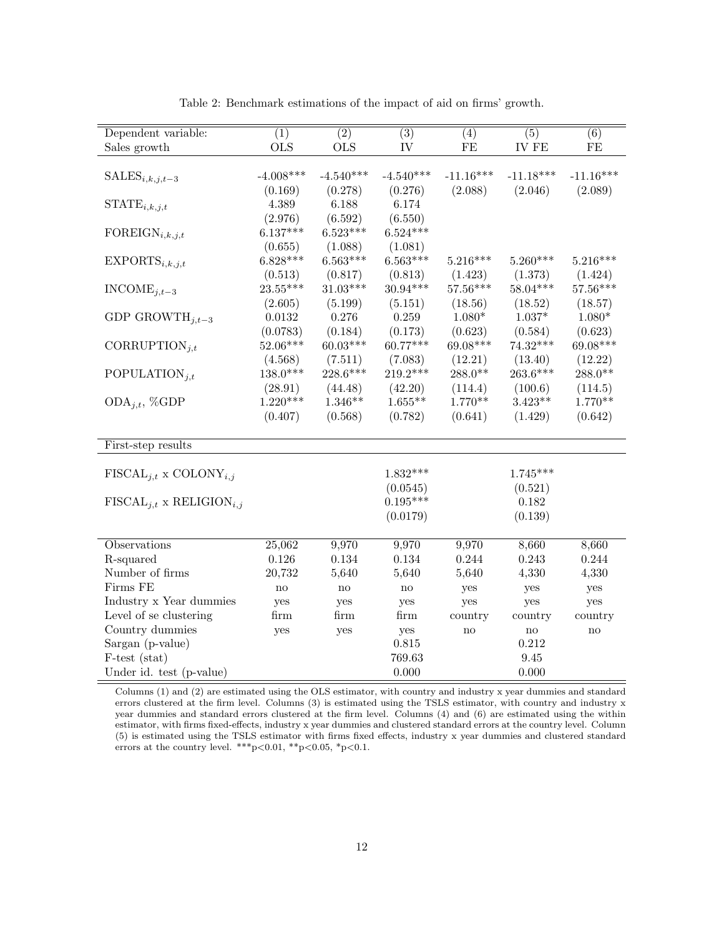| Dependent variable:                      | $\overline{(1)}$ | $\overline{(2)}$ | $\overline{(3)}$ | (4)                 | $\overline{(5)}$             | $\overline{(6)}$    |
|------------------------------------------|------------------|------------------|------------------|---------------------|------------------------------|---------------------|
| Sales growth                             | <b>OLS</b>       | <b>OLS</b>       | IV               | $\rm FE$            | IV FE                        | $\rm FE$            |
|                                          |                  |                  |                  |                     |                              |                     |
| $SALES_{i,k,j,t-3}$                      | $-4.008***$      | $-4.540***$      | $-4.540***$      | $-11.16***$         | $-11.18***$                  | $-11.16***$         |
|                                          | (0.169)          | (0.278)          | (0.276)          | (2.088)             | (2.046)                      | (2.089)             |
| $STATE_{i,k,j,t}$                        | 4.389            | 6.188            | 6.174            |                     |                              |                     |
|                                          | (2.976)          | (6.592)          | (6.550)          |                     |                              |                     |
| FOREIGN <sub>i,k,j,t</sub>               | $6.137***$       | $6.523***$       | $6.524***$       |                     |                              |                     |
|                                          | (0.655)          | (1.088)          | (1.081)          |                     |                              |                     |
| EXPORTS <sub>i,k,j,t</sub>               | $6.828***$       | $6.563***$       | $6.563***$       | $5.216***$          | $5.260***$                   | $5.216***$          |
|                                          | (0.513)          | (0.817)          | (0.813)          | (1.423)             | (1.373)                      | (1.424)             |
| $INCODE_{i,t-3}$                         | $23.55***$       | $31.03***$       | $30.94***$       | 57.56***            | 58.04***                     | $57.56***$          |
|                                          | (2.605)          | (5.199)          | (5.151)          | (18.56)             | (18.52)                      | (18.57)             |
| GDP GROWTH <sub>i.t-3</sub>              | 0.0132           | 0.276            | 0.259            | $1.080*$            | $1.037*$                     | $1.080*$            |
|                                          | (0.0783)         | (0.184)          | (0.173)          | (0.623)             | (0.584)                      | (0.623)             |
| CORRUPTION <sub>i,t</sub>                | 52.06***         | $60.03***$       | $60.77***$       | 69.08***            | $74.32***$                   | 69.08***            |
|                                          | (4.568)          | (7.511)          | (7.083)          | (12.21)             | (13.40)                      | (12.22)             |
| POPULATION <sub>it</sub>                 | $138.0***$       | 228.6***         | $219.2***$       | $288.0**$           | 263.6***                     | $288.0**$           |
|                                          | (28.91)          | (44.48)          | (42.20)          | (114.4)             | (100.6)                      | (114.5)             |
| $ODA_{i,t}, %GDP$                        | $1.220***$       | $1.346**$        | $1.655**$        | $1.770**$           | $3.423**$                    | $1.770**$           |
|                                          | (0.407)          | (0.568)          | (0.782)          | (0.641)             | (1.429)                      | (0.642)             |
|                                          |                  |                  |                  |                     |                              |                     |
| First-step results                       |                  |                  |                  |                     |                              |                     |
|                                          |                  |                  |                  |                     |                              |                     |
| $FISCAL_{i,t} \times COLONY_{i,j}$       |                  |                  | $1.832***$       |                     | $1.745***$                   |                     |
|                                          |                  |                  | (0.0545)         |                     | (0.521)                      |                     |
| $FISCAL_{i,t}$ x RELIGION <sub>i,j</sub> |                  |                  | $0.195***$       |                     | 0.182                        |                     |
|                                          |                  |                  | (0.0179)         |                     | (0.139)                      |                     |
| Observations                             | 25,062           | 9,970            | 9,970            | 9,970               | 8,660                        | 8,660               |
| R-squared                                | 0.126            | 0.134            | 0.134            | 0.244               | 0.243                        | 0.244               |
| Number of firms                          | 20,732           | 5,640            | 5,640            | 5,640               | 4,330                        | 4,330               |
| Firms FE                                 |                  |                  |                  |                     |                              |                     |
| Industry x Year dummies                  | $\mathbf{no}$    | $\mathbf{no}$    | $\mathbf{no}$    | yes                 | yes                          | yes                 |
| Level of se clustering                   | yes              | yes              | yes              | yes                 | yes                          | yes                 |
| Country dummies                          | firm             | firm             | firm             | country             | country                      | country             |
| Sargan (p-value)                         | yes              | yes              | yes<br>0.815     | $\operatorname{no}$ | $\operatorname{no}$<br>0.212 | $\operatorname{no}$ |
|                                          |                  |                  | 769.63           |                     | 9.45                         |                     |
| F-test (stat)                            |                  |                  |                  |                     |                              |                     |
| Under id. test (p-value)                 |                  |                  | $0.000\,$        |                     | 0.000                        |                     |

Table 2: Benchmark estimations of the impact of aid on firms' growth.

Columns (1) and (2) are estimated using the OLS estimator, with country and industry x year dummies and standard errors clustered at the firm level. Columns (3) is estimated using the TSLS estimator, with country and industry x year dummies and standard errors clustered at the firm level. Columns (4) and (6) are estimated using the within estimator, with firms fixed-effects, industry x year dummies and clustered standard errors at the country level. Column (5) is estimated using the TSLS estimator with firms fixed effects, industry x year dummies and clustered standard errors at the country level. \*\*\*p<0.01, \*\*p<0.05, \*p<0.1.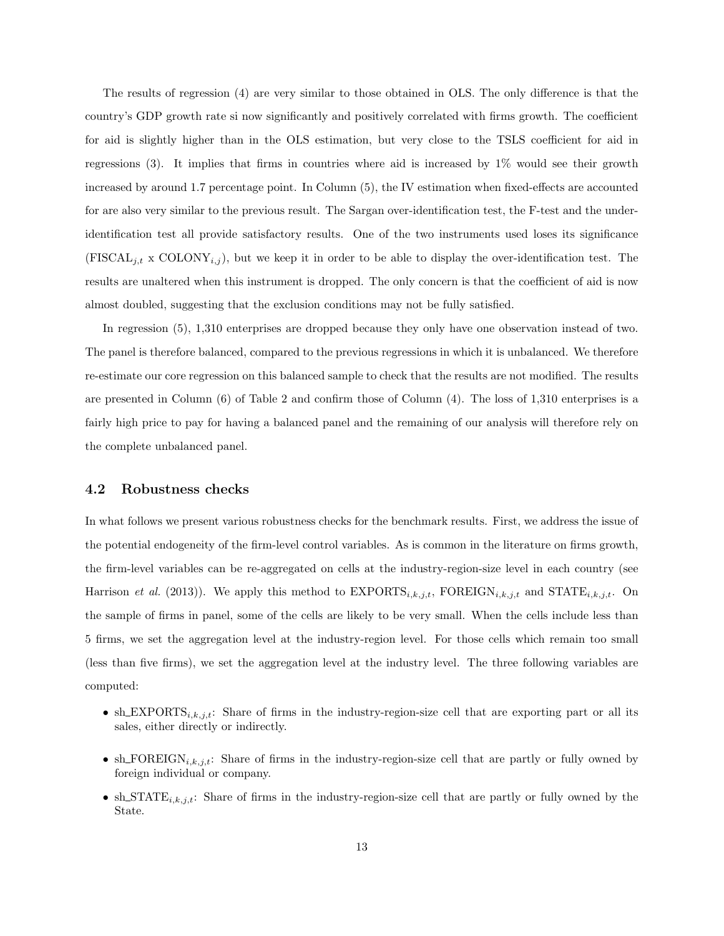The results of regression (4) are very similar to those obtained in OLS. The only difference is that the country's GDP growth rate si now significantly and positively correlated with firms growth. The coefficient for aid is slightly higher than in the OLS estimation, but very close to the TSLS coefficient for aid in regressions (3). It implies that firms in countries where aid is increased by 1% would see their growth increased by around 1.7 percentage point. In Column (5), the IV estimation when fixed-effects are accounted for are also very similar to the previous result. The Sargan over-identification test, the F-test and the underidentification test all provide satisfactory results. One of the two instruments used loses its significance  $(FISCAL<sub>j,t</sub> x COLONY<sub>i,j</sub>)$ , but we keep it in order to be able to display the over-identification test. The results are unaltered when this instrument is dropped. The only concern is that the coefficient of aid is now almost doubled, suggesting that the exclusion conditions may not be fully satisfied.

In regression (5), 1,310 enterprises are dropped because they only have one observation instead of two. The panel is therefore balanced, compared to the previous regressions in which it is unbalanced. We therefore re-estimate our core regression on this balanced sample to check that the results are not modified. The results are presented in Column (6) of Table 2 and confirm those of Column (4). The loss of 1,310 enterprises is a fairly high price to pay for having a balanced panel and the remaining of our analysis will therefore rely on the complete unbalanced panel.

### 4.2 Robustness checks

In what follows we present various robustness checks for the benchmark results. First, we address the issue of the potential endogeneity of the firm-level control variables. As is common in the literature on firms growth, the firm-level variables can be re-aggregated on cells at the industry-region-size level in each country (see Harrison et al. (2013)). We apply this method to  $EXPORTS_{i,k,j,t}$ ,  $FOREIGN_{i,k,j,t}$  and  $STATE_{i,k,j,t}$ . On the sample of firms in panel, some of the cells are likely to be very small. When the cells include less than 5 firms, we set the aggregation level at the industry-region level. For those cells which remain too small (less than five firms), we set the aggregation level at the industry level. The three following variables are computed:

- sh\_EXPORTS<sub>i,k,j,t</sub>: Share of firms in the industry-region-size cell that are exporting part or all its sales, either directly or indirectly.
- sh\_FOREIGN<sub>i,k,j,t</sub>: Share of firms in the industry-region-size cell that are partly or fully owned by foreign individual or company.
- sh\_STATE $i, k, j, t$ : Share of firms in the industry-region-size cell that are partly or fully owned by the State.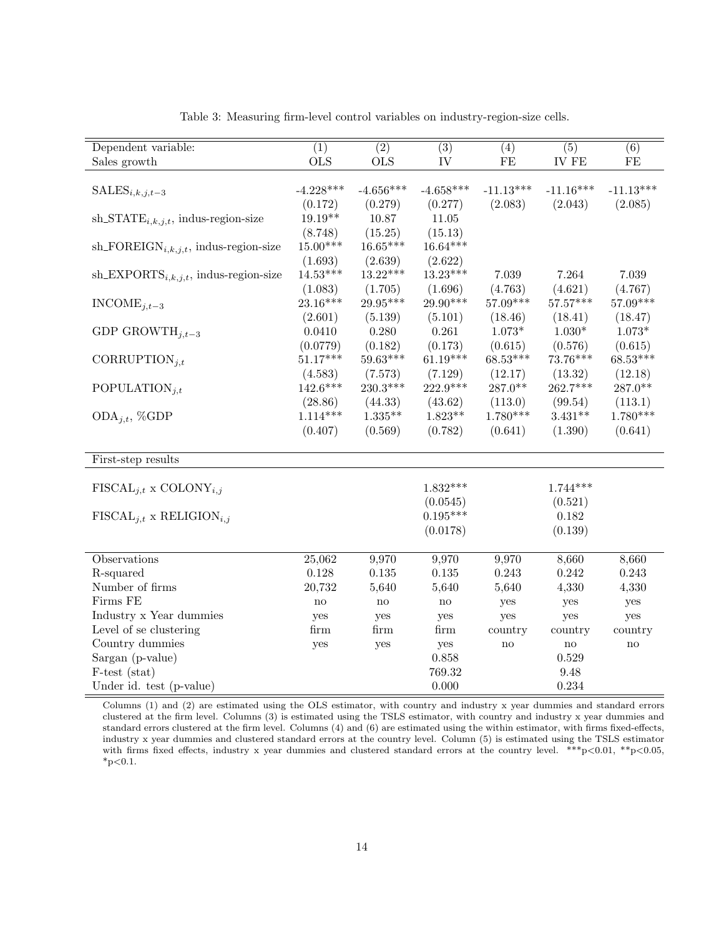| Dependent variable:                               | $\overline{(1)}$ | $\overline{(2)}$ | $\overline{(3)}$ | (4)           | $\overline{(5)}$ | (6)         |
|---------------------------------------------------|------------------|------------------|------------------|---------------|------------------|-------------|
| Sales growth                                      | <b>OLS</b>       | <b>OLS</b>       | IV               | $\rm FE$      | <b>IV FE</b>     | FE          |
|                                                   |                  |                  |                  |               |                  |             |
| $SALES_{i,k,j,t-3}$                               | $-4.228***$      | $-4.656***$      | $-4.658***$      | $-11.13***$   | $-11.16***$      | $-11.13***$ |
|                                                   | (0.172)          | (0.279)          | (0.277)          | (2.083)       | (2.043)          | (2.085)     |
| sh_STAT $E_{i,k,j,t}$ , indus-region-size         | $19.19**$        | 10.87            | 11.05            |               |                  |             |
|                                                   | (8.748)          | (15.25)          | (15.13)          |               |                  |             |
| sh_FOREIGN <sub>i,k,j,t</sub> , indus-region-size | $15.00***$       | 16.65***         | $16.64***$       |               |                  |             |
|                                                   | (1.693)          | (2.639)          | (2.622)          |               |                  |             |
| sh_EXPORTS <sub>i,k,j,t</sub> , indus-region-size | $14.53***$       | $13.22***$       | $13.23***$       | 7.039         | 7.264            | 7.039       |
|                                                   | (1.083)          | (1.705)          | (1.696)          | (4.763)       | (4.621)          | (4.767)     |
| $INCODE_{i,t-3}$                                  | $23.16***$       | 29.95***         | $29.90***$       | 57.09***      | $57.57***$       | 57.09***    |
|                                                   | (2.601)          | (5.139)          | (5.101)          | (18.46)       | (18.41)          | (18.47)     |
| GDP GROWTH <sub>i.t-3</sub>                       | 0.0410           | 0.280            | 0.261            | $1.073*$      | $1.030*$         | $1.073*$    |
|                                                   | (0.0779)         | (0.182)          | (0.173)          | (0.615)       | (0.576)          | (0.615)     |
| CORRUPTION <sub>i,t</sub>                         | $51.17***$       | $59.63***$       | $61.19***$       | $68.53***$    | $73.76***$       | $68.53***$  |
|                                                   | (4.583)          | (7.573)          | (7.129)          | (12.17)       | (13.32)          | (12.18)     |
| POPULATION <sub>it</sub>                          | $142.6***$       | 230.3***         | $222.9***$       | $287.0**$     | 262.7***         | $287.0**$   |
|                                                   | (28.86)          | (44.33)          | (43.62)          | (113.0)       | (99.54)          | (113.1)     |
| $ODA_{j,t}, %GDP$                                 | $1.114***$       | $1.335**$        | $1.823**$        | $1.780***$    | $3.431**$        | $1.780***$  |
|                                                   | (0.407)          | (0.569)          | (0.782)          | (0.641)       | (1.390)          | (0.641)     |
|                                                   |                  |                  |                  |               |                  |             |
| First-step results                                |                  |                  |                  |               |                  |             |
|                                                   |                  |                  |                  |               |                  |             |
| $FISCAL_{i,t}$ x COLONY <sub>i,j</sub>            |                  |                  | $1.832***$       |               | $1.744***$       |             |
|                                                   |                  |                  | (0.0545)         |               | (0.521)          |             |
| $FISCAL_{i,t}$ x RELIGION <sub>i,j</sub>          |                  |                  | $0.195***$       |               | 0.182            |             |
|                                                   |                  |                  | (0.0178)         |               | (0.139)          |             |
|                                                   |                  |                  |                  |               |                  |             |
| Observations                                      | 25,062           | 9,970            | 9,970            | 9,970         | 8,660            | 8,660       |
| R-squared                                         | 0.128            | $0.135\,$        | $0.135\,$        | 0.243         | 0.242            | 0.243       |
| Number of firms                                   | 20,732           | 5,640            | 5,640            | 5,640         | 4,330            | 4,330       |
| Firms FE                                          | $\rm{no}$        | $\mathbf{no}$    | $\rm {no}$       | yes           | yes              | yes         |
| Industry x Year dummies                           | yes              | yes              | yes              | yes           | yes              | yes         |
| Level of se clustering                            | firm             | firm             | firm             | country       | country          | country     |
| Country dummies                                   | yes              | yes              | yes              | $\mathbf{no}$ | no               | no          |
| Sargan (p-value)                                  |                  |                  | 0.858            |               | 0.529            |             |
| F-test (stat)                                     |                  |                  | 769.32           |               | 9.48             |             |
| Under id. test (p-value)                          |                  |                  | 0.000            |               | 0.234            |             |

Table 3: Measuring firm-level control variables on industry-region-size cells.

Columns (1) and (2) are estimated using the OLS estimator, with country and industry x year dummies and standard errors clustered at the firm level. Columns (3) is estimated using the TSLS estimator, with country and industry x year dummies and standard errors clustered at the firm level. Columns (4) and (6) are estimated using the within estimator, with firms fixed-effects, industry x year dummies and clustered standard errors at the country level. Column (5) is estimated using the TSLS estimator with firms fixed effects, industry x year dummies and clustered standard errors at the country level.  $***p<0.01$ ,  $**p<0.05$ ,  $*p<0.1$ .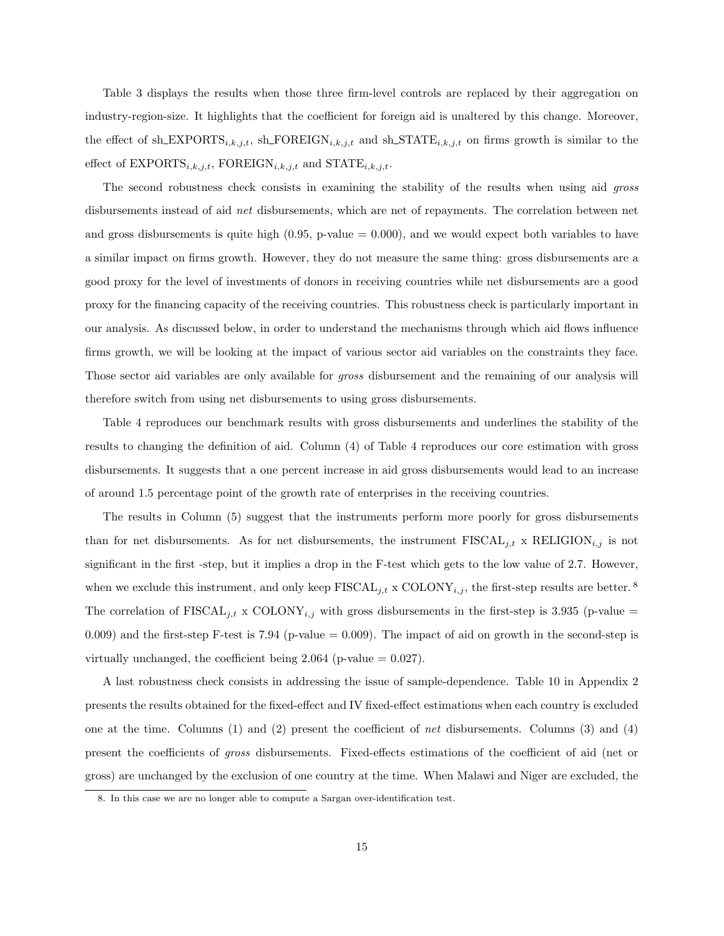Table 3 displays the results when those three firm-level controls are replaced by their aggregation on industry-region-size. It highlights that the coefficient for foreign aid is unaltered by this change. Moreover, the effect of sh EXPORTS<sub>i,k,j,t</sub>, sh FOREIGN<sub>i,k,j,t</sub> and sh STATE<sub>i,k,j,t</sub> on firms growth is similar to the effect of  $\text{EXPORTS}_{i,k,j,t}$ , FOREIGN $_{i,k,j,t}$  and  $\text{STATE}_{i,k,j,t}$ .

The second robustness check consists in examining the stability of the results when using aid gross disbursements instead of aid net disbursements, which are net of repayments. The correlation between net and gross disbursements is quite high  $(0.95, p-value = 0.000)$ , and we would expect both variables to have a similar impact on firms growth. However, they do not measure the same thing: gross disbursements are a good proxy for the level of investments of donors in receiving countries while net disbursements are a good proxy for the financing capacity of the receiving countries. This robustness check is particularly important in our analysis. As discussed below, in order to understand the mechanisms through which aid flows influence firms growth, we will be looking at the impact of various sector aid variables on the constraints they face. Those sector aid variables are only available for gross disbursement and the remaining of our analysis will therefore switch from using net disbursements to using gross disbursements.

Table 4 reproduces our benchmark results with gross disbursements and underlines the stability of the results to changing the definition of aid. Column (4) of Table 4 reproduces our core estimation with gross disbursements. It suggests that a one percent increase in aid gross disbursements would lead to an increase of around 1.5 percentage point of the growth rate of enterprises in the receiving countries.

The results in Column (5) suggest that the instruments perform more poorly for gross disbursements than for net disbursements. As for net disbursements, the instrument  $FISCAL_{j,t}$  x RELIGION<sub>i,j</sub> is not significant in the first -step, but it implies a drop in the F-test which gets to the low value of 2.7. However, when we exclude this instrument, and only keep  $\text{FISCAL}_{i,t} \times \text{COLONY}_{i,j}$ , the first-step results are better.<sup>8</sup> The correlation of  $FISCAL_{j,t} \times COLONY_{i,j}$  with gross disbursements in the first-step is 3.935 (p-value = 0.009) and the first-step F-test is 7.94 (p-value  $= 0.009$ ). The impact of aid on growth in the second-step is virtually unchanged, the coefficient being  $2.064$  (p-value  $= 0.027$ ).

A last robustness check consists in addressing the issue of sample-dependence. Table 10 in Appendix 2 presents the results obtained for the fixed-effect and IV fixed-effect estimations when each country is excluded one at the time. Columns (1) and (2) present the coefficient of net disbursements. Columns (3) and (4) present the coefficients of gross disbursements. Fixed-effects estimations of the coefficient of aid (net or gross) are unchanged by the exclusion of one country at the time. When Malawi and Niger are excluded, the

<sup>8.</sup> In this case we are no longer able to compute a Sargan over-identification test.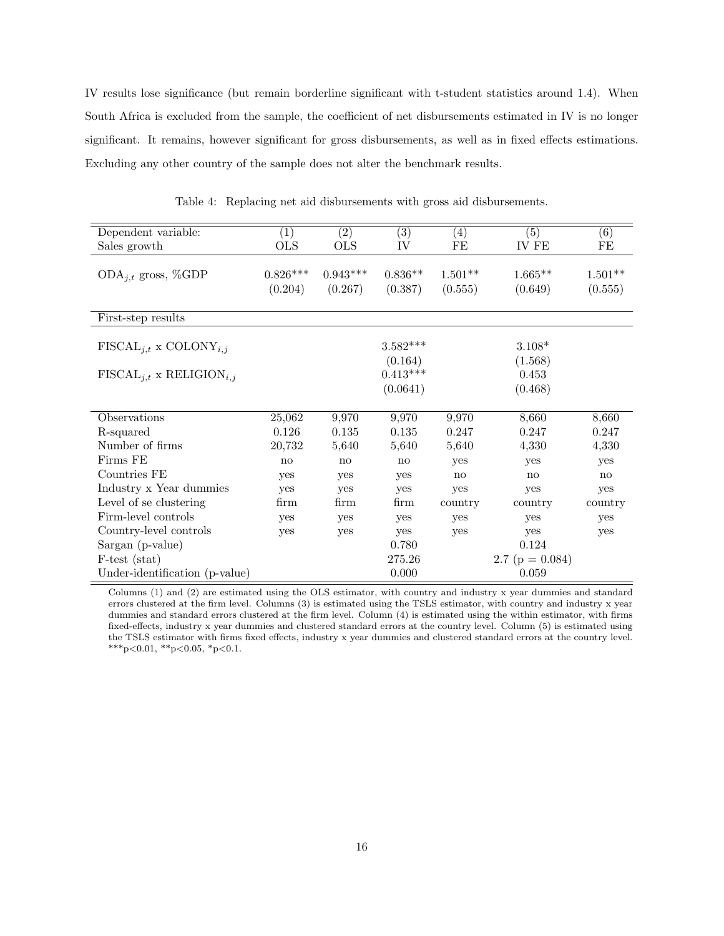IV results lose significance (but remain borderline significant with t-student statistics around 1.4). When South Africa is excluded from the sample, the coefficient of net disbursements estimated in IV is no longer significant. It remains, however significant for gross disbursements, as well as in fixed effects estimations. Excluding any other country of the sample does not alter the benchmark results.

| Dependent variable:                      | $\left( 1\right)$ | (2)        | $\overline{(3)}$ | $\left( 4\right)$ | (5)                 | (6)       |
|------------------------------------------|-------------------|------------|------------------|-------------------|---------------------|-----------|
| Sales growth                             | <b>OLS</b>        | <b>OLS</b> | IV               | FE                | IV FE               | FE        |
|                                          |                   |            |                  |                   |                     |           |
| ODA <sub>j,t</sub> gross, %GDP           | $0.826***$        | $0.943***$ | $0.836**$        | $1.501**$         | $1.665**$           | $1.501**$ |
|                                          | (0.204)           | (0.267)    | (0.387)          | (0.555)           | (0.649)             | (0.555)   |
|                                          |                   |            |                  |                   |                     |           |
| First-step results                       |                   |            |                  |                   |                     |           |
|                                          |                   |            |                  |                   |                     |           |
| $FISCAL_{i,t} \times COLONY_{i,j}$       |                   |            | $3.582***$       |                   | $3.108*$            |           |
|                                          |                   |            | (0.164)          |                   | (1.568)             |           |
| $FISCAL_{i,t}$ x RELIGION <sub>i,j</sub> |                   |            | $0.413***$       |                   | 0.453               |           |
|                                          |                   |            | (0.0641)         |                   | (0.468)             |           |
|                                          |                   |            |                  |                   |                     |           |
| Observations                             | 25,062            | 9,970      | 9,970            | 9,970             | 8,660               | 8,660     |
| R-squared                                | 0.126             | 0.135      | 0.135            | 0.247             | 0.247               | 0.247     |
| Number of firms                          | 20,732            | 5,640      | 5,640            | 5,640             | 4,330               | 4,330     |
| Firms FE                                 | no                | no         | no               | yes               | yes                 | yes       |
| Countries FE                             | yes               | yes        | yes              | no                | no                  | no        |
| Industry x Year dummies                  | yes               | yes        | yes              | yes               | yes                 | yes       |
| Level of se clustering                   | firm              | firm       | firm             | country           | country             | country   |
| Firm-level controls                      | yes               | yes        | yes              | yes               | yes                 | yes       |
| Country-level controls                   | yes               | yes        | yes              | yes               | yes                 | yes       |
| Sargan (p-value)                         |                   |            | 0.780            |                   | 0.124               |           |
| $F-test (stat)$                          |                   |            | 275.26           |                   | 2.7 ( $p = 0.084$ ) |           |
| Under-identification (p-value)           |                   |            | 0.000            |                   | 0.059               |           |

Table 4: Replacing net aid disbursements with gross aid disbursements.

Columns (1) and (2) are estimated using the OLS estimator, with country and industry x year dummies and standard errors clustered at the firm level. Columns (3) is estimated using the TSLS estimator, with country and industry x year dummies and standard errors clustered at the firm level. Column (4) is estimated using the within estimator, with firms fixed-effects, industry x year dummies and clustered standard errors at the country level. Column (5) is estimated using the TSLS estimator with firms fixed effects, industry x year dummies and clustered standard errors at the country level. \*\*\*p<0.01, \*\*p<0.05, \*p<0.1.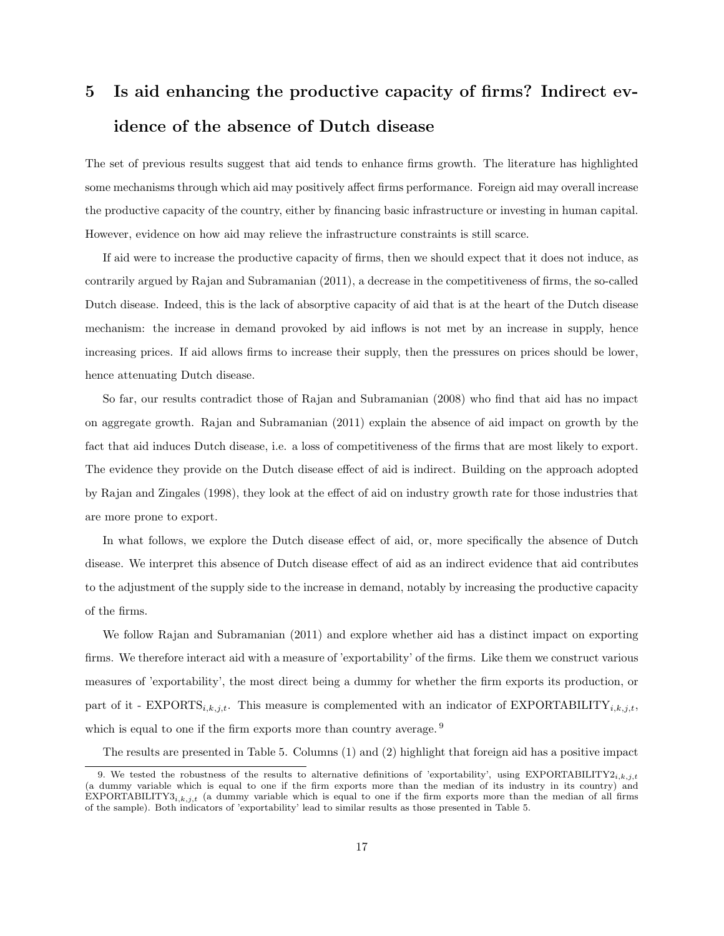# 5 Is aid enhancing the productive capacity of firms? Indirect evidence of the absence of Dutch disease

The set of previous results suggest that aid tends to enhance firms growth. The literature has highlighted some mechanisms through which aid may positively affect firms performance. Foreign aid may overall increase the productive capacity of the country, either by financing basic infrastructure or investing in human capital. However, evidence on how aid may relieve the infrastructure constraints is still scarce.

If aid were to increase the productive capacity of firms, then we should expect that it does not induce, as contrarily argued by Rajan and Subramanian (2011), a decrease in the competitiveness of firms, the so-called Dutch disease. Indeed, this is the lack of absorptive capacity of aid that is at the heart of the Dutch disease mechanism: the increase in demand provoked by aid inflows is not met by an increase in supply, hence increasing prices. If aid allows firms to increase their supply, then the pressures on prices should be lower, hence attenuating Dutch disease.

So far, our results contradict those of Rajan and Subramanian (2008) who find that aid has no impact on aggregate growth. Rajan and Subramanian (2011) explain the absence of aid impact on growth by the fact that aid induces Dutch disease, i.e. a loss of competitiveness of the firms that are most likely to export. The evidence they provide on the Dutch disease effect of aid is indirect. Building on the approach adopted by Rajan and Zingales (1998), they look at the effect of aid on industry growth rate for those industries that are more prone to export.

In what follows, we explore the Dutch disease effect of aid, or, more specifically the absence of Dutch disease. We interpret this absence of Dutch disease effect of aid as an indirect evidence that aid contributes to the adjustment of the supply side to the increase in demand, notably by increasing the productive capacity of the firms.

We follow Rajan and Subramanian (2011) and explore whether aid has a distinct impact on exporting firms. We therefore interact aid with a measure of 'exportability' of the firms. Like them we construct various measures of 'exportability', the most direct being a dummy for whether the firm exports its production, or part of it -  $EXPORTS_{i,k,j,t}$ . This measure is complemented with an indicator of  $EXPORTABLEITY_{i,k,j,t}$ , which is equal to one if the firm exports more than country average.<sup>9</sup>

The results are presented in Table 5. Columns (1) and (2) highlight that foreign aid has a positive impact

<sup>9.</sup> We tested the robustness of the results to alternative definitions of 'exportability', using EXPORTABILITY2<sub>i,k,j,t</sub> (a dummy variable which is equal to one if the firm exports more than the median of its industry in its country) and EXPORTABILITY3<sub>i,k,j,t</sub> (a dummy variable which is equal to one if the firm exports more than the median of all firms of the sample). Both indicators of 'exportability' lead to similar results as those presented in Table 5.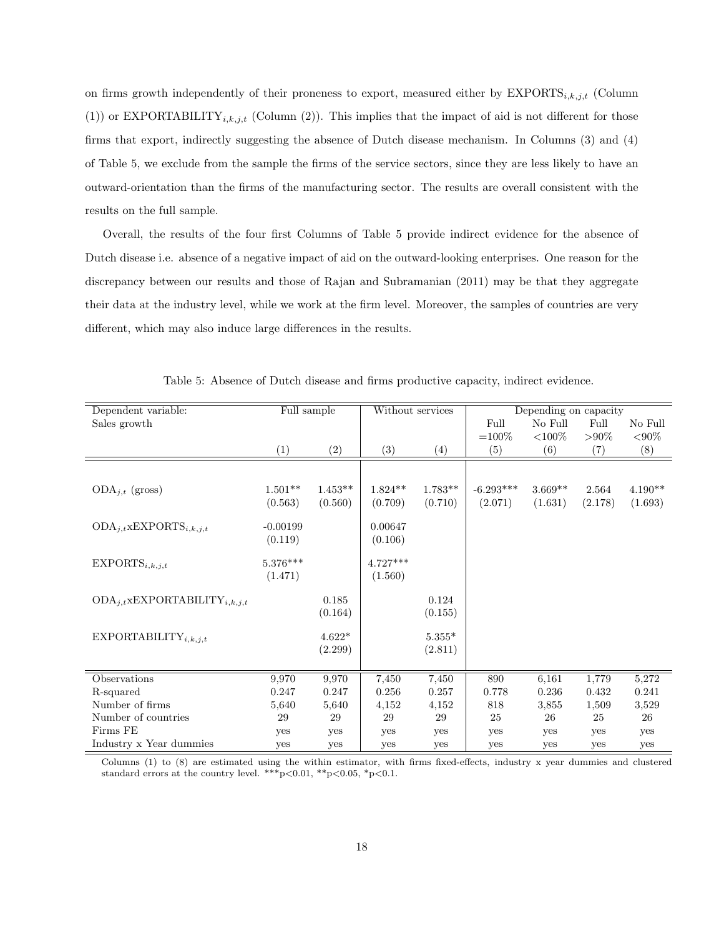on firms growth independently of their proneness to export, measured either by  $EXPORTS_{i,k,j,t}$  (Column (1)) or EXPORTABILITY<sub>i,k,j,t</sub> (Column (2)). This implies that the impact of aid is not different for those firms that export, indirectly suggesting the absence of Dutch disease mechanism. In Columns (3) and (4) of Table 5, we exclude from the sample the firms of the service sectors, since they are less likely to have an outward-orientation than the firms of the manufacturing sector. The results are overall consistent with the results on the full sample.

Overall, the results of the four first Columns of Table 5 provide indirect evidence for the absence of Dutch disease i.e. absence of a negative impact of aid on the outward-looking enterprises. One reason for the discrepancy between our results and those of Rajan and Subramanian (2011) may be that they aggregate their data at the industry level, while we work at the firm level. Moreover, the samples of countries are very different, which may also induce large differences in the results.

| Dependent variable:                           | Full sample |           | Without services |                  |             | Depending on capacity |          |               |
|-----------------------------------------------|-------------|-----------|------------------|------------------|-------------|-----------------------|----------|---------------|
| Sales growth                                  |             |           |                  |                  | Full        | No Full               | Full     | No Full       |
|                                               |             |           |                  |                  | $=100\%$    | ${<}100%$             | $> 90\%$ | $< \!\! 90\%$ |
|                                               | (1)         | (2)       | (3)              | $\left(4\right)$ | (5)         | (6)                   | (7)      | (8)           |
|                                               |             |           |                  |                  |             |                       |          |               |
|                                               | $1.501**$   |           |                  |                  |             | $3.669**$             |          |               |
| $ODA_{j,t}$ (gross)                           |             | $1.453**$ | $1.824**$        | $1.783**$        | $-6.293***$ |                       | 2.564    | $4.190**$     |
|                                               | (0.563)     | (0.560)   | (0.709)          | (0.710)          | (2.071)     | (1.631)               | (2.178)  | (1.693)       |
| $ODA_{j,t}$ xEXPORTS <sub>i,k,j,t</sub>       | $-0.00199$  |           | 0.00647          |                  |             |                       |          |               |
|                                               | (0.119)     |           | (0.106)          |                  |             |                       |          |               |
|                                               |             |           |                  |                  |             |                       |          |               |
| $EXPORTS_{i,k,j,t}$                           | $5.376***$  |           | $4.727***$       |                  |             |                       |          |               |
|                                               | (1.471)     |           | (1.560)          |                  |             |                       |          |               |
|                                               |             |           |                  |                  |             |                       |          |               |
| $ODA_{j,t}$ xEXPORTABILITY <sub>i,k,j,t</sub> |             | 0.185     |                  | 0.124            |             |                       |          |               |
|                                               |             | (0.164)   |                  | (0.155)          |             |                       |          |               |
|                                               |             |           |                  |                  |             |                       |          |               |
| EXPORTABILITY <sub>i,k,j,t</sub>              |             | $4.622*$  |                  | $5.355*$         |             |                       |          |               |
|                                               |             | (2.299)   |                  | (2.811)          |             |                       |          |               |
|                                               |             |           |                  |                  |             |                       |          |               |
| Observations                                  | 9,970       | 9,970     | 7,450            | 7,450            | 890         | 6,161                 | 1,779    | 5,272         |
| R-squared                                     | 0.247       | 0.247     | 0.256            | 0.257            | 0.778       | 0.236                 | 0.432    | 0.241         |
| Number of firms                               | 5,640       | 5,640     | 4,152            | 4,152            | 818         | 3,855                 | 1,509    | 3,529         |
| Number of countries                           | 29          | 29        | 29               | 29               | 25          | 26                    | 25       | 26            |
| Firms FE                                      | yes         | yes       | yes              | yes              | yes         | yes                   | yes      | yes           |
| Industry x Year dummies                       | yes         | yes       | yes              | yes              | yes         | yes                   | yes      | yes           |

Table 5: Absence of Dutch disease and firms productive capacity, indirect evidence.

Columns (1) to (8) are estimated using the within estimator, with firms fixed-effects, industry x year dummies and clustered standard errors at the country level. \*\*\*p $<0.01$ , \*\*p $<0.05$ , \*p $<0.1$ .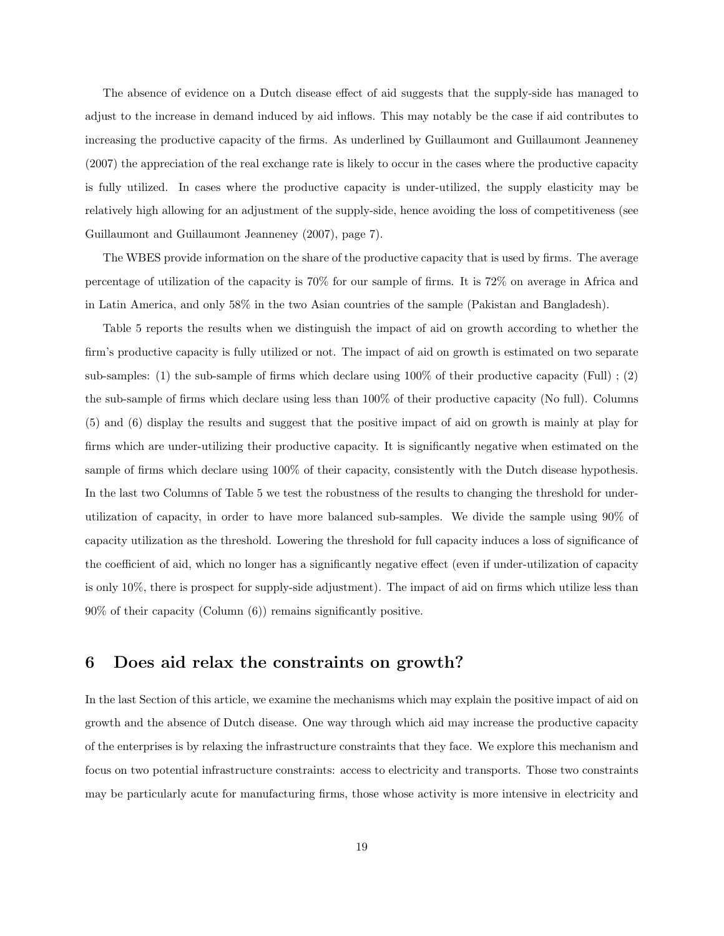The absence of evidence on a Dutch disease effect of aid suggests that the supply-side has managed to adjust to the increase in demand induced by aid inflows. This may notably be the case if aid contributes to increasing the productive capacity of the firms. As underlined by Guillaumont and Guillaumont Jeanneney (2007) the appreciation of the real exchange rate is likely to occur in the cases where the productive capacity is fully utilized. In cases where the productive capacity is under-utilized, the supply elasticity may be relatively high allowing for an adjustment of the supply-side, hence avoiding the loss of competitiveness (see Guillaumont and Guillaumont Jeanneney (2007), page 7).

The WBES provide information on the share of the productive capacity that is used by firms. The average percentage of utilization of the capacity is 70% for our sample of firms. It is 72% on average in Africa and in Latin America, and only 58% in the two Asian countries of the sample (Pakistan and Bangladesh).

Table 5 reports the results when we distinguish the impact of aid on growth according to whether the firm's productive capacity is fully utilized or not. The impact of aid on growth is estimated on two separate sub-samples: (1) the sub-sample of firms which declare using 100% of their productive capacity (Full) ; (2) the sub-sample of firms which declare using less than 100% of their productive capacity (No full). Columns (5) and (6) display the results and suggest that the positive impact of aid on growth is mainly at play for firms which are under-utilizing their productive capacity. It is significantly negative when estimated on the sample of firms which declare using 100% of their capacity, consistently with the Dutch disease hypothesis. In the last two Columns of Table 5 we test the robustness of the results to changing the threshold for underutilization of capacity, in order to have more balanced sub-samples. We divide the sample using 90% of capacity utilization as the threshold. Lowering the threshold for full capacity induces a loss of significance of the coefficient of aid, which no longer has a significantly negative effect (even if under-utilization of capacity is only 10%, there is prospect for supply-side adjustment). The impact of aid on firms which utilize less than 90% of their capacity (Column (6)) remains significantly positive.

## 6 Does aid relax the constraints on growth?

In the last Section of this article, we examine the mechanisms which may explain the positive impact of aid on growth and the absence of Dutch disease. One way through which aid may increase the productive capacity of the enterprises is by relaxing the infrastructure constraints that they face. We explore this mechanism and focus on two potential infrastructure constraints: access to electricity and transports. Those two constraints may be particularly acute for manufacturing firms, those whose activity is more intensive in electricity and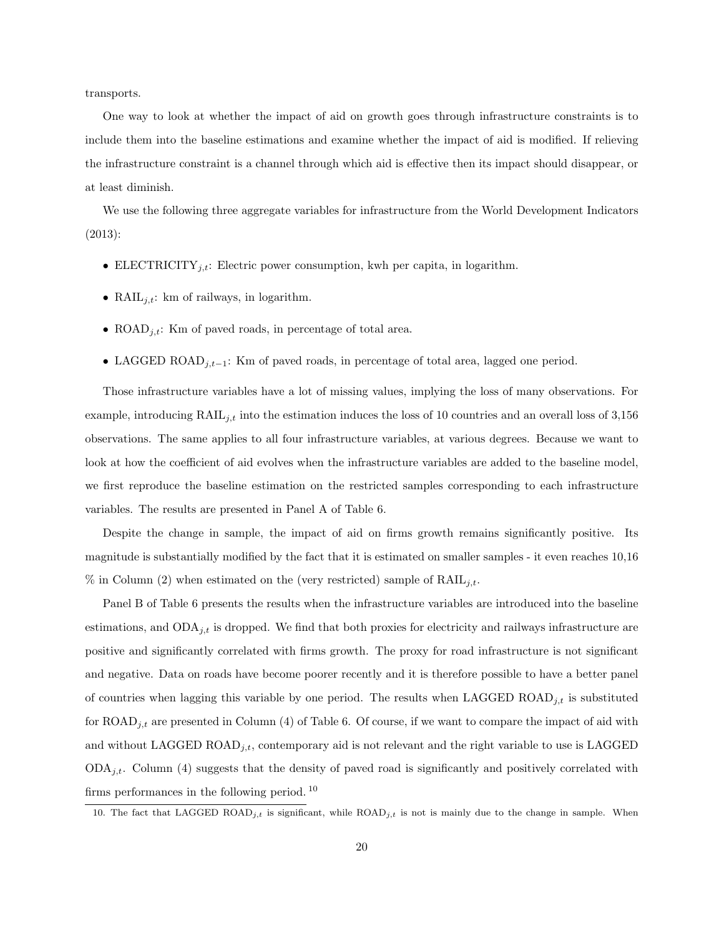transports.

One way to look at whether the impact of aid on growth goes through infrastructure constraints is to include them into the baseline estimations and examine whether the impact of aid is modified. If relieving the infrastructure constraint is a channel through which aid is effective then its impact should disappear, or at least diminish.

We use the following three aggregate variables for infrastructure from the World Development Indicators (2013):

- ELECTRICITY<sub>j,t</sub>: Electric power consumption, kwh per capita, in logarithm.
- RAIL $_{i,t}$ : km of railways, in logarithm.
- ROAD<sub>j,t</sub>: Km of paved roads, in percentage of total area.
- LAGGED ROAD $_{i,t-1}$ : Km of paved roads, in percentage of total area, lagged one period.

Those infrastructure variables have a lot of missing values, implying the loss of many observations. For example, introducing  $\text{RAIL}_{j,t}$  into the estimation induces the loss of 10 countries and an overall loss of 3,156 observations. The same applies to all four infrastructure variables, at various degrees. Because we want to look at how the coefficient of aid evolves when the infrastructure variables are added to the baseline model, we first reproduce the baseline estimation on the restricted samples corresponding to each infrastructure variables. The results are presented in Panel A of Table 6.

Despite the change in sample, the impact of aid on firms growth remains significantly positive. Its magnitude is substantially modified by the fact that it is estimated on smaller samples - it even reaches 10,16 % in Column (2) when estimated on the (very restricted) sample of  $\text{RAIL}_{j,t}$ .

Panel B of Table 6 presents the results when the infrastructure variables are introduced into the baseline estimations, and  $ODA_{j,t}$  is dropped. We find that both proxies for electricity and railways infrastructure are positive and significantly correlated with firms growth. The proxy for road infrastructure is not significant and negative. Data on roads have become poorer recently and it is therefore possible to have a better panel of countries when lagging this variable by one period. The results when LAGGED ROAD<sub>j,t</sub> is substituted for  $\text{ROAD}_{i,t}$  are presented in Column (4) of Table 6. Of course, if we want to compare the impact of aid with and without LAGGED  $\text{ROAD}_{j,t}$ , contemporary aid is not relevant and the right variable to use is LAGGED  $ODA_{i,t}$ . Column (4) suggests that the density of paved road is significantly and positively correlated with firms performances in the following period. <sup>10</sup>

<sup>10.</sup> The fact that LAGGED ROAD<sub>j,t</sub> is significant, while  $ROAD_{j,t}$  is not is mainly due to the change in sample. When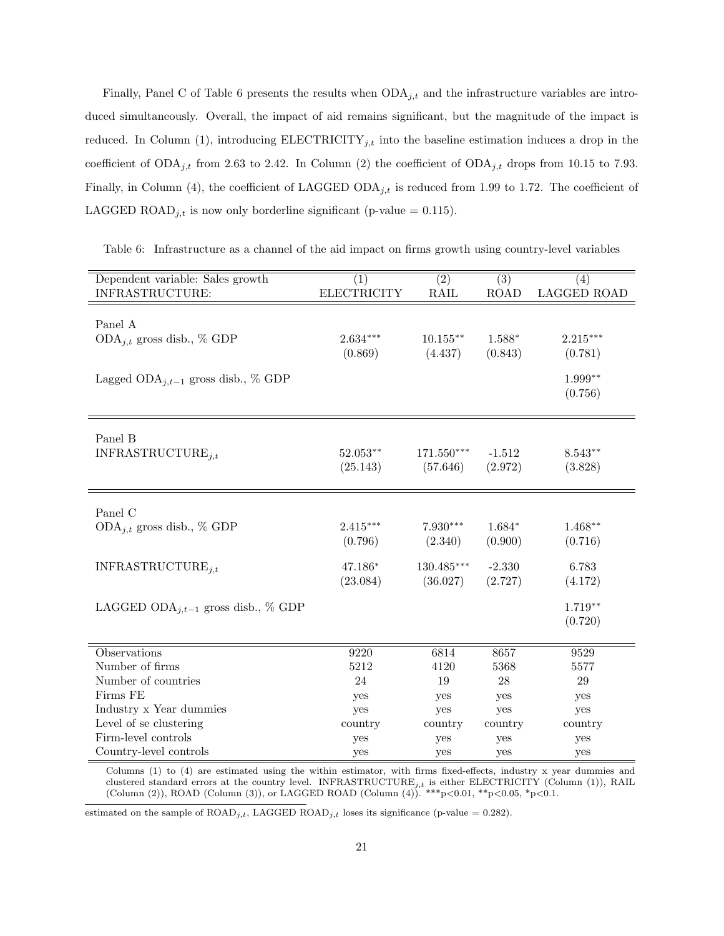Finally, Panel C of Table 6 presents the results when  $ODA_{j,t}$  and the infrastructure variables are introduced simultaneously. Overall, the impact of aid remains significant, but the magnitude of the impact is reduced. In Column (1), introducing  $\text{ELECTRICITY}_{j,t}$  into the baseline estimation induces a drop in the coefficient of  $ODA_{j,t}$  from 2.63 to 2.42. In Column (2) the coefficient of  $ODA_{j,t}$  drops from 10.15 to 7.93. Finally, in Column (4), the coefficient of LAGGED  $ODA_{j,t}$  is reduced from 1.99 to 1.72. The coefficient of LAGGED ROAD<sub>j,t</sub> is now only borderline significant (p-value = 0.115).

Table 6: Infrastructure as a channel of the aid impact on firms growth using country-level variables

| Dependent variable: Sales growth<br>INFRASTRUCTURE: | (1)<br><b>ELECTRICITY</b> | $\overline{(2)}$<br>RAIL | $\overline{(3)}$<br><b>ROAD</b> | (4)<br>LAGGED ROAD |
|-----------------------------------------------------|---------------------------|--------------------------|---------------------------------|--------------------|
|                                                     |                           |                          |                                 |                    |
| Panel A                                             |                           |                          |                                 |                    |
| ODA <sub>j,t</sub> gross disb., $\%$ GDP            | $2.634^{\ast\ast\ast}$    | $10.155**$               | $1.588*$                        | $2.215***$         |
|                                                     | (0.869)                   | (4.437)                  | (0.843)                         | (0.781)            |
| Lagged ODA <sub>j</sub> , $t-1$ gross disb., % GDP  |                           |                          |                                 | $1.999**$          |
|                                                     |                           |                          |                                 | (0.756)            |
|                                                     |                           |                          |                                 |                    |
|                                                     |                           |                          |                                 |                    |
| Panel B                                             | $52.053^{**}$             | $171.550***$             | $-1.512$                        | $8.543**$          |
| INFRASTRUCTURE <sub>i.t</sub>                       |                           |                          |                                 |                    |
|                                                     | (25.143)                  | (57.646)                 | (2.972)                         | (3.828)            |
|                                                     |                           |                          |                                 |                    |
| Panel C                                             |                           |                          |                                 |                    |
| ODA <sub>j,t</sub> gross disb., $\%$ GDP            | $2.415***$                | $7.930***$               | $1.684*$                        | $1.468**$          |
|                                                     | (0.796)                   | (2.340)                  | (0.900)                         | (0.716)            |
| INFRASTRUCTURE <sub>i.t</sub>                       | 47.186*                   | $130.485***$             | $-2.330$                        | 6.783              |
|                                                     | (23.084)                  | (36.027)                 | (2.727)                         | (4.172)            |
| LAGGED ODA <sub>i</sub> , $t-1$ gross disb., % GDP  |                           |                          |                                 | $1.719**$          |
|                                                     |                           |                          |                                 | (0.720)            |
|                                                     |                           |                          |                                 |                    |
| Observations                                        | 9220                      | 6814                     | 8657                            | 9529               |
| Number of firms                                     | 5212                      | 4120                     | 5368                            | 5577               |
| Number of countries                                 | 24                        | 19                       | 28                              | 29                 |
| Firms FE                                            | yes                       | yes                      | yes                             | yes                |
| Industry x Year dummies                             | yes                       | yes                      | yes                             | yes                |
| Level of se clustering                              | country                   | country                  | country                         | country            |
| Firm-level controls                                 | yes                       | yes                      | yes                             | yes                |
| Country-level controls                              | yes                       | yes                      | yes                             | yes                |

Columns (1) to (4) are estimated using the within estimator, with firms fixed-effects, industry x year dummies and clustered standard errors at the country level. INFRASTRUCTURE $_{j,t}$  is either ELECTRICITY (Column (1)), RAIL (Column (2)), ROAD (Column (3)), or LAGGED ROAD (Column (4)).  $***p<0.01$ ,  $**p<0.05$ ,  $*p<0.1$ .

estimated on the sample of  $ROAD_{j,t}$ , LAGGED  $ROAD_{j,t}$  loses its significance (p-value = 0.282).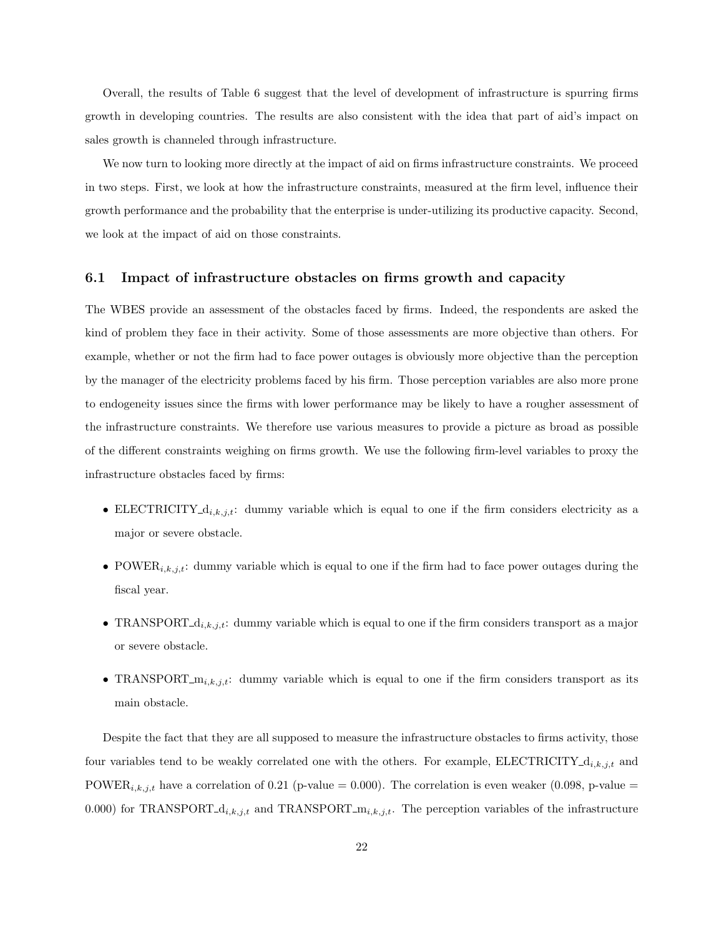Overall, the results of Table 6 suggest that the level of development of infrastructure is spurring firms growth in developing countries. The results are also consistent with the idea that part of aid's impact on sales growth is channeled through infrastructure.

We now turn to looking more directly at the impact of aid on firms infrastructure constraints. We proceed in two steps. First, we look at how the infrastructure constraints, measured at the firm level, influence their growth performance and the probability that the enterprise is under-utilizing its productive capacity. Second, we look at the impact of aid on those constraints.

#### 6.1 Impact of infrastructure obstacles on firms growth and capacity

The WBES provide an assessment of the obstacles faced by firms. Indeed, the respondents are asked the kind of problem they face in their activity. Some of those assessments are more objective than others. For example, whether or not the firm had to face power outages is obviously more objective than the perception by the manager of the electricity problems faced by his firm. Those perception variables are also more prone to endogeneity issues since the firms with lower performance may be likely to have a rougher assessment of the infrastructure constraints. We therefore use various measures to provide a picture as broad as possible of the different constraints weighing on firms growth. We use the following firm-level variables to proxy the infrastructure obstacles faced by firms:

- ELECTRICITY<sub>-di,k,j,t</sub>: dummy variable which is equal to one if the firm considers electricity as a major or severe obstacle.
- POWER<sub>i,k,j,t</sub>: dummy variable which is equal to one if the firm had to face power outages during the fiscal year.
- TRANSPORT<sub>-di,k,j,t</sub>: dummy variable which is equal to one if the firm considers transport as a major or severe obstacle.
- TRANSPORT<sub>-mi,k,j,t</sub>: dummy variable which is equal to one if the firm considers transport as its main obstacle.

Despite the fact that they are all supposed to measure the infrastructure obstacles to firms activity, those four variables tend to be weakly correlated one with the others. For example, ELECTRICITY  $d_{i,k,j,t}$  and POWER<sub>i,k,j,t</sub> have a correlation of 0.21 (p-value = 0.000). The correlation is even weaker (0.098, p-value = 0.000) for TRANSPORT<sub>-di,k,j,t</sub> and TRANSPORT<sub>-mi,k,j,t</sub>. The perception variables of the infrastructure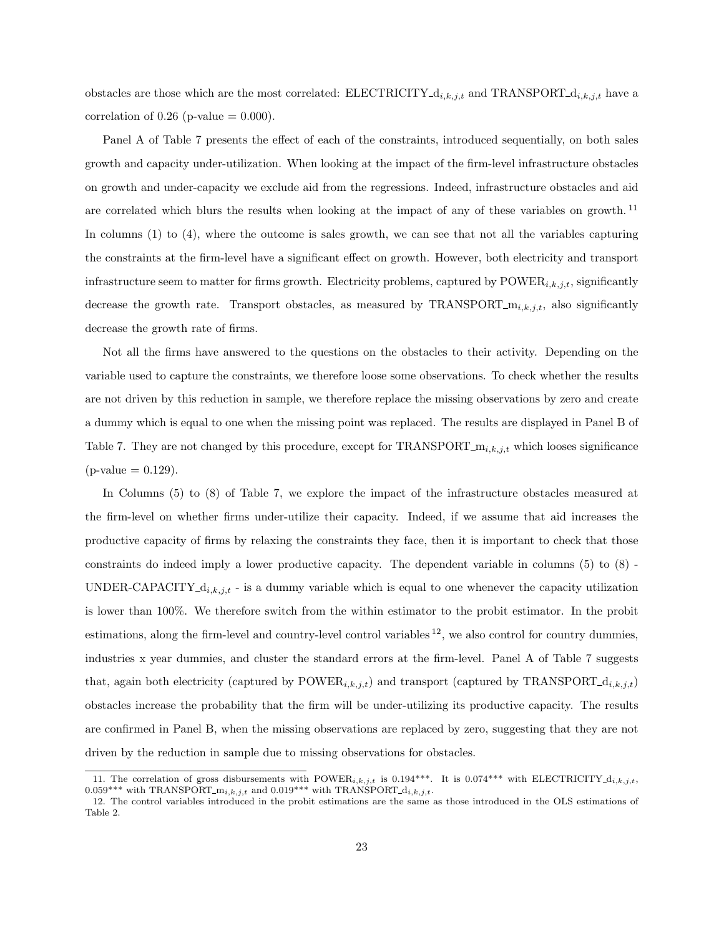obstacles are those which are the most correlated: ELECTRICITY  $d_{i,k,j,t}$  and TRANSPORT  $d_{i,k,j,t}$  have a correlation of  $0.26$  (p-value =  $0.000$ ).

Panel A of Table 7 presents the effect of each of the constraints, introduced sequentially, on both sales growth and capacity under-utilization. When looking at the impact of the firm-level infrastructure obstacles on growth and under-capacity we exclude aid from the regressions. Indeed, infrastructure obstacles and aid are correlated which blurs the results when looking at the impact of any of these variables on growth. <sup>11</sup> In columns (1) to (4), where the outcome is sales growth, we can see that not all the variables capturing the constraints at the firm-level have a significant effect on growth. However, both electricity and transport infrastructure seem to matter for firms growth. Electricity problems, captured by  $\text{POWER}_{i,k,j,t}$ , significantly decrease the growth rate. Transport obstacles, as measured by TRANSPORT<sub>-mi,k,j,t</sub>, also significantly decrease the growth rate of firms.

Not all the firms have answered to the questions on the obstacles to their activity. Depending on the variable used to capture the constraints, we therefore loose some observations. To check whether the results are not driven by this reduction in sample, we therefore replace the missing observations by zero and create a dummy which is equal to one when the missing point was replaced. The results are displayed in Panel B of Table 7. They are not changed by this procedure, except for TRANSPORT<sub>- $m_{i,k,j,t}$ </sub> which looses significance  $(p-value = 0.129)$ .

In Columns (5) to (8) of Table 7, we explore the impact of the infrastructure obstacles measured at the firm-level on whether firms under-utilize their capacity. Indeed, if we assume that aid increases the productive capacity of firms by relaxing the constraints they face, then it is important to check that those constraints do indeed imply a lower productive capacity. The dependent variable in columns (5) to (8) - UNDER-CAPACITY  $d_{i,k,j,t}$  - is a dummy variable which is equal to one whenever the capacity utilization is lower than 100%. We therefore switch from the within estimator to the probit estimator. In the probit estimations, along the firm-level and country-level control variables  $^{12}$ , we also control for country dummies, industries x year dummies, and cluster the standard errors at the firm-level. Panel A of Table 7 suggests that, again both electricity (captured by POWER<sub>i,k,j,t</sub>) and transport (captured by TRANSPORT<sub>-d<sub>i,k,j,t</sub>)</sub> obstacles increase the probability that the firm will be under-utilizing its productive capacity. The results are confirmed in Panel B, when the missing observations are replaced by zero, suggesting that they are not driven by the reduction in sample due to missing observations for obstacles.

<sup>11.</sup> The correlation of gross disbursements with  $\text{POWER}_{i,k,j,t}$  is 0.194\*\*\*. It is 0.074\*\*\* with ELECTRICITY- $d_{i,k,j,t}$ , 0.059\*\*\* with TRANSPORT<sub>-mi,k,j,t</sub> and 0.019\*\*\* with TRANSPORT<sub>-di,k,j,t</sub>.

<sup>12.</sup> The control variables introduced in the probit estimations are the same as those introduced in the OLS estimations of Table 2.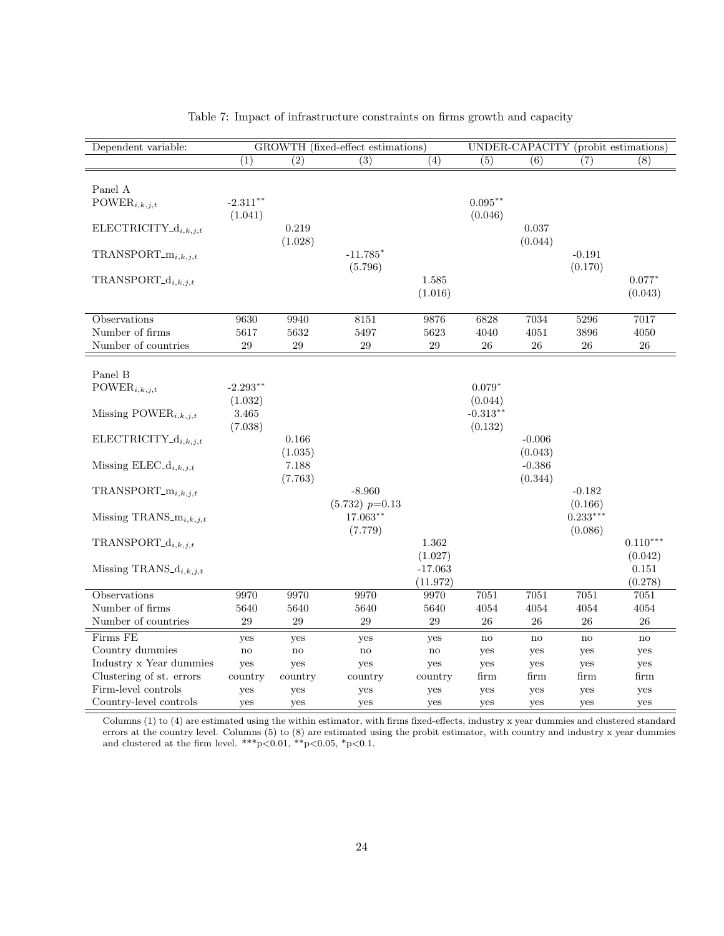| Dependent variable:                          |                  |                  | GROWTH (fixed-effect estimations) |                                  |                        |                     | UNDER-CAPACITY (probit estimations) |                             |
|----------------------------------------------|------------------|------------------|-----------------------------------|----------------------------------|------------------------|---------------------|-------------------------------------|-----------------------------|
|                                              | $\overline{(1)}$ | $\overline{(2)}$ | $\overline{(3)}$                  | $\overline{(4)}$                 | (5)                    | (6)                 | (7)                                 | $\overline{(8)}$            |
| Panel A                                      | $-2.311***$      |                  |                                   |                                  | $0.095***$             |                     |                                     |                             |
| $\text{POWER}_{i,k,j,t}$                     | (1.041)          |                  |                                   |                                  | (0.046)                |                     |                                     |                             |
| $ELECTRICITY_{d_{i,k,j,t}}$                  |                  | 0.219<br>(1.028) |                                   |                                  |                        | 0.037<br>(0.044)    |                                     |                             |
| $TRANSPORT_{i,k,j,t}$                        |                  |                  | $-11.785*$<br>(5.796)             |                                  |                        |                     | $-0.191$<br>(0.170)                 |                             |
| $TRANSPORT_d_{i,k,j,t}$                      |                  |                  |                                   | 1.585<br>(1.016)                 |                        |                     |                                     | $0.077*$<br>(0.043)         |
| Observations                                 | 9630             | 9940             | 8151                              | 9876                             | 6828                   | 7034                | 5296                                | 7017                        |
| Number of firms                              | 5617             | 5632             | 5497                              | 5623                             | 4040                   | 4051                | 3896                                | 4050                        |
| Number of countries                          | $\,29$           | $\,29$           | $\,29$                            | $\,29$                           | 26                     | 26                  | ${\bf 26}$                          | $26\,$                      |
| Panel B                                      |                  |                  |                                   |                                  |                        |                     |                                     |                             |
| $\text{POWER}_{i,k,j,t}$                     | $-2.293**$       |                  |                                   |                                  | $0.079*$               |                     |                                     |                             |
|                                              | (1.032)          |                  |                                   |                                  | (0.044)                |                     |                                     |                             |
| Missing POWER <sub>i,k,j,t</sub>             | 3.465<br>(7.038) |                  |                                   |                                  | $-0.313***$<br>(0.132) |                     |                                     |                             |
| $ELECTRICITY_d_{i,k,j,t}$                    |                  | 0.166<br>(1.035) |                                   |                                  |                        | $-0.006$<br>(0.043) |                                     |                             |
| Missing ELEC <sub>-d<sub>i,k,j,t</sub></sub> |                  | 7.188<br>(7.763) |                                   |                                  |                        | $-0.386$<br>(0.344) |                                     |                             |
| $TRANSPORT_m$ <sub>i,k,j,t</sub>             |                  |                  | $-8.960$<br>$(5.732)$ $p=0.13$    |                                  |                        |                     | $-0.182$<br>(0.166)                 |                             |
| Missing TRANS_ $m_{i,k,j,t}$                 |                  |                  | $17.063**$<br>(7.779)             |                                  |                        |                     | $0.233***$<br>(0.086)               |                             |
| $TRANSPORT_d_{i,k,i,t}$                      |                  |                  |                                   | 1.362                            |                        |                     |                                     | $0.110***$                  |
| Missing TRANS_ $d_{i,k,j,t}$                 |                  |                  |                                   | (1.027)<br>$-17.063$<br>(11.972) |                        |                     |                                     | (0.042)<br>0.151<br>(0.278) |
| Observations                                 | 9970             | 9970             | 9970                              | 9970                             | 7051                   | 7051                | 7051                                | 7051                        |
| Number of firms                              | 5640             | 5640             | 5640                              | 5640                             | 4054                   | 4054                | 4054                                | 4054                        |
| Number of countries                          | 29               | 29               | 29                                | 29                               | 26                     | 26                  | 26                                  | 26                          |
| Firms FE                                     | yes              | yes              | yes                               | yes                              | no                     | $\mathbf{no}$       | $\mathbf{n}\mathbf{o}$              | $\mathbf{n}\mathbf{o}$      |
| Country dummies                              | $\rm{no}$        | $\rm{no}$        | $\rm {no}$                        | $\mathbf{n}$                     | yes                    | yes                 | yes                                 | yes                         |
| Industry x Year dummies                      | yes              | yes              | yes                               | yes                              | yes                    | yes                 | yes                                 | yes                         |
| Clustering of st. errors                     | country          | country          | country                           | country                          | firm                   | firm                | firm                                | firm                        |
| Firm-level controls                          | yes              | yes              | yes                               | yes                              | yes                    | yes                 | yes                                 | yes                         |
| Country-level controls                       | yes              | yes              | yes                               | yes                              | yes                    | yes                 | yes                                 | yes                         |

## Table 7: Impact of infrastructure constraints on firms growth and capacity

Columns (1) to (4) are estimated using the within estimator, with firms fixed-effects, industry x year dummies and clustered standard errors at the country level. Columns (5) to (8) are estimated using the probit estimator, with country and industry x year dummies and clustered at the firm level. \*\*\*p<0.01, \*\*p<0.05, \*p<0.1.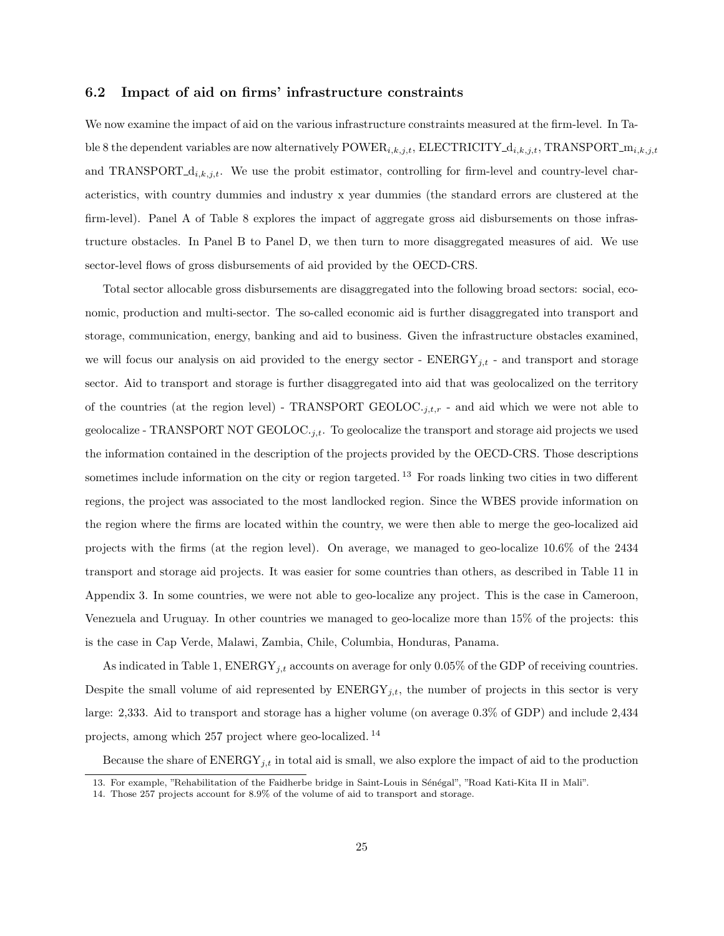#### 6.2 Impact of aid on firms' infrastructure constraints

We now examine the impact of aid on the various infrastructure constraints measured at the firm-level. In Table 8 the dependent variables are now alternatively  $\text{POWER}_{i,k,j,t}$ , ELECTRICITY\_ $d_{i,k,j,t}$ , TRANSPORT\_ $m_{i,k,j,t}$ and TRANSPORT<sub>-di,k,j,t</sub>. We use the probit estimator, controlling for firm-level and country-level characteristics, with country dummies and industry x year dummies (the standard errors are clustered at the firm-level). Panel A of Table 8 explores the impact of aggregate gross aid disbursements on those infrastructure obstacles. In Panel B to Panel D, we then turn to more disaggregated measures of aid. We use sector-level flows of gross disbursements of aid provided by the OECD-CRS.

Total sector allocable gross disbursements are disaggregated into the following broad sectors: social, economic, production and multi-sector. The so-called economic aid is further disaggregated into transport and storage, communication, energy, banking and aid to business. Given the infrastructure obstacles examined, we will focus our analysis on aid provided to the energy sector -  $ENERGY_{j,t}$  - and transport and storage sector. Aid to transport and storage is further disaggregated into aid that was geolocalized on the territory of the countries (at the region level) - TRANSPORT GEOLOC. $i_{i,t,r}$  - and aid which we were not able to geolocalize - TRANSPORT NOT GEOLOC. $_{i,t}$ . To geolocalize the transport and storage aid projects we used the information contained in the description of the projects provided by the OECD-CRS. Those descriptions sometimes include information on the city or region targeted.<sup>13</sup> For roads linking two cities in two different regions, the project was associated to the most landlocked region. Since the WBES provide information on the region where the firms are located within the country, we were then able to merge the geo-localized aid projects with the firms (at the region level). On average, we managed to geo-localize 10.6% of the 2434 transport and storage aid projects. It was easier for some countries than others, as described in Table 11 in Appendix 3. In some countries, we were not able to geo-localize any project. This is the case in Cameroon, Venezuela and Uruguay. In other countries we managed to geo-localize more than 15% of the projects: this is the case in Cap Verde, Malawi, Zambia, Chile, Columbia, Honduras, Panama.

As indicated in Table 1,  $\text{ENERGY}_{j,t}$  accounts on average for only 0.05% of the GDP of receiving countries. Despite the small volume of aid represented by  $\text{ENERGY}_{i,t}$ , the number of projects in this sector is very large: 2,333. Aid to transport and storage has a higher volume (on average 0.3% of GDP) and include 2,434 projects, among which 257 project where geo-localized. <sup>14</sup>

Because the share of  $\text{ENERGY}_{j,t}$  in total aid is small, we also explore the impact of aid to the production

<sup>13.</sup> For example, "Rehabilitation of the Faidherbe bridge in Saint-Louis in Sénégal", "Road Kati-Kita II in Mali".

<sup>14.</sup> Those 257 projects account for 8.9% of the volume of aid to transport and storage.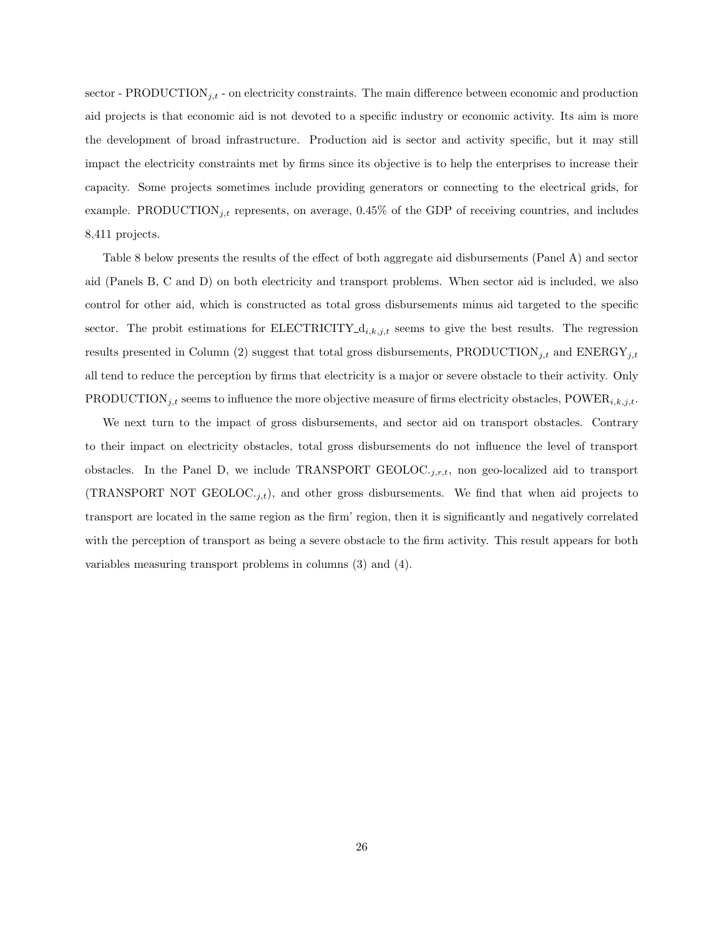sector - PRODUCTION<sub>j,t</sub> - on electricity constraints. The main difference between economic and production aid projects is that economic aid is not devoted to a specific industry or economic activity. Its aim is more the development of broad infrastructure. Production aid is sector and activity specific, but it may still impact the electricity constraints met by firms since its objective is to help the enterprises to increase their capacity. Some projects sometimes include providing generators or connecting to the electrical grids, for example. PRODUCTION<sub>j,t</sub> represents, on average,  $0.45\%$  of the GDP of receiving countries, and includes 8,411 projects.

Table 8 below presents the results of the effect of both aggregate aid disbursements (Panel A) and sector aid (Panels B, C and D) on both electricity and transport problems. When sector aid is included, we also control for other aid, which is constructed as total gross disbursements minus aid targeted to the specific sector. The probit estimations for  $\text{ELECTRICITY}_{d_i,k,j,t}$  seems to give the best results. The regression results presented in Column (2) suggest that total gross disbursements, PRODUCTION<sub>j,t</sub> and ENERGY<sub>j,t</sub> all tend to reduce the perception by firms that electricity is a major or severe obstacle to their activity. Only PRODUCTION<sub>j,t</sub> seems to influence the more objective measure of firms electricity obstacles, POWER<sub>i,k,j,t</sub>.

We next turn to the impact of gross disbursements, and sector aid on transport obstacles. Contrary to their impact on electricity obstacles, total gross disbursements do not influence the level of transport obstacles. In the Panel D, we include TRANSPORT GEOLOC. $_{i,r,t}$ , non geo-localized aid to transport (TRANSPORT NOT GEOLOC.<sub>j,t</sub>), and other gross disbursements. We find that when aid projects to transport are located in the same region as the firm' region, then it is significantly and negatively correlated with the perception of transport as being a severe obstacle to the firm activity. This result appears for both variables measuring transport problems in columns (3) and (4).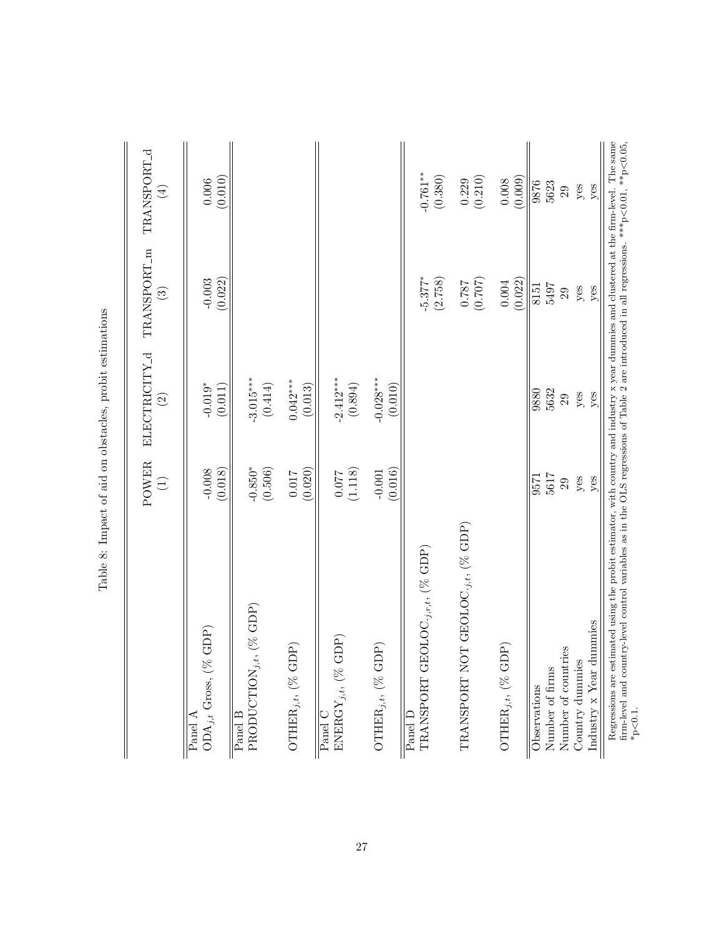|                                                                                                                                                                                                                                                                                                                        | POWER<br>$\bigoplus$ | ELECTRICITY_d<br>$\widehat{\odot}$ | TRANSPORT_m<br>$\widehat{S}$     | TRANSPORT <sub>-d</sub><br>$\bigoplus$ |
|------------------------------------------------------------------------------------------------------------------------------------------------------------------------------------------------------------------------------------------------------------------------------------------------------------------------|----------------------|------------------------------------|----------------------------------|----------------------------------------|
| $%$ GDP)<br>$ODA_{j,t}$ Gross, (<br>Panel A                                                                                                                                                                                                                                                                            | (0.018)<br>$-0.008$  | $-0.019*$<br>(0.011)               | (0.022)<br>$-0.003$              | (0.010)<br>$0.006\,$                   |
| $PRODUCTION_{j,t},\ (\%\text{GDP})$<br>Panel B                                                                                                                                                                                                                                                                         | $-0.850*$<br>(0.506) | $-3.015***$<br>(0.414)             |                                  |                                        |
| $GDP$ )<br>OTHER, $_{j,t}$ , $($ %                                                                                                                                                                                                                                                                                     | (0.020)<br>$0.017\,$ | $0.042***$<br>(0.013)              |                                  |                                        |
| $GDP$ )<br>ENERGY <sub>j,t</sub> , $\%$<br>Panel <sup></sup>                                                                                                                                                                                                                                                           | (1.118)              | $-2.412***$<br>(0.894)             |                                  |                                        |
| GDP)<br>OTHER, $_{j,t}$ , $(\%$                                                                                                                                                                                                                                                                                        | (0.016)<br>$-0.001$  | $-0.028***$<br>(0.010)             |                                  |                                        |
| $GEOLOC_{\cdot j,r,t},$ $(\%$ $GDP)$<br>TRANSPORT<br>Panel D                                                                                                                                                                                                                                                           |                      |                                    | $-5.377$ <sup>*</sup><br>(2.758) | $-0.761***$<br>(0.380)                 |
| TRANSPORT NOT GEOLOC.j,t, $(\%$ GDP)                                                                                                                                                                                                                                                                                   |                      |                                    | $(0.787$<br>$787$                | $(0.229)$<br>$(0.210)$                 |
| GDP)<br>OTHER $_{j,t}$ , $($ % (                                                                                                                                                                                                                                                                                       |                      |                                    | (0.022)<br>$0.004\,$             | (0.009)<br>$0.008\,$                   |
| Observations                                                                                                                                                                                                                                                                                                           | 9571                 | 9880                               | 8151                             | 9876<br>5623                           |
| Number of firms                                                                                                                                                                                                                                                                                                        | 5617                 | 5632                               | 5497                             |                                        |
| Number of countries                                                                                                                                                                                                                                                                                                    | 29                   | 29                                 | 29                               | 29                                     |
| Country dummies                                                                                                                                                                                                                                                                                                        | yes                  | yes                                | $y$ es                           | yes                                    |
| dummies<br>Industry $x$ Year                                                                                                                                                                                                                                                                                           | yes                  | yes                                | yes                              | yes                                    |
| Regressions are estimated using the probit estimator, with country and industry $x$ year dummies and clustered at the firm-level. The same<br>firm-level and country-level control variables as in the OLS regressions of Table 2 are introduced in all regressions. *** $p < 0.01$ , ** $p < 0.05$ ,<br>$*_{p<0.1}$ . |                      |                                    |                                  |                                        |

Table 8: Impact of aid on obstacles, probit estimations Table 8: Impact of aid on obstacles, probit estimations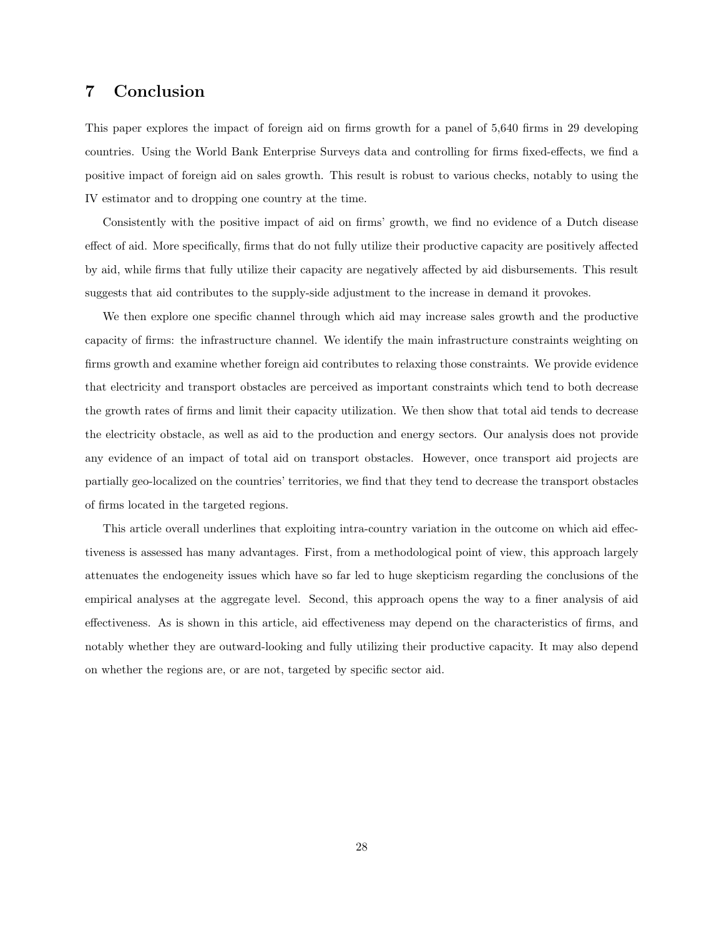## 7 Conclusion

This paper explores the impact of foreign aid on firms growth for a panel of 5,640 firms in 29 developing countries. Using the World Bank Enterprise Surveys data and controlling for firms fixed-effects, we find a positive impact of foreign aid on sales growth. This result is robust to various checks, notably to using the IV estimator and to dropping one country at the time.

Consistently with the positive impact of aid on firms' growth, we find no evidence of a Dutch disease effect of aid. More specifically, firms that do not fully utilize their productive capacity are positively affected by aid, while firms that fully utilize their capacity are negatively affected by aid disbursements. This result suggests that aid contributes to the supply-side adjustment to the increase in demand it provokes.

We then explore one specific channel through which aid may increase sales growth and the productive capacity of firms: the infrastructure channel. We identify the main infrastructure constraints weighting on firms growth and examine whether foreign aid contributes to relaxing those constraints. We provide evidence that electricity and transport obstacles are perceived as important constraints which tend to both decrease the growth rates of firms and limit their capacity utilization. We then show that total aid tends to decrease the electricity obstacle, as well as aid to the production and energy sectors. Our analysis does not provide any evidence of an impact of total aid on transport obstacles. However, once transport aid projects are partially geo-localized on the countries' territories, we find that they tend to decrease the transport obstacles of firms located in the targeted regions.

This article overall underlines that exploiting intra-country variation in the outcome on which aid effectiveness is assessed has many advantages. First, from a methodological point of view, this approach largely attenuates the endogeneity issues which have so far led to huge skepticism regarding the conclusions of the empirical analyses at the aggregate level. Second, this approach opens the way to a finer analysis of aid effectiveness. As is shown in this article, aid effectiveness may depend on the characteristics of firms, and notably whether they are outward-looking and fully utilizing their productive capacity. It may also depend on whether the regions are, or are not, targeted by specific sector aid.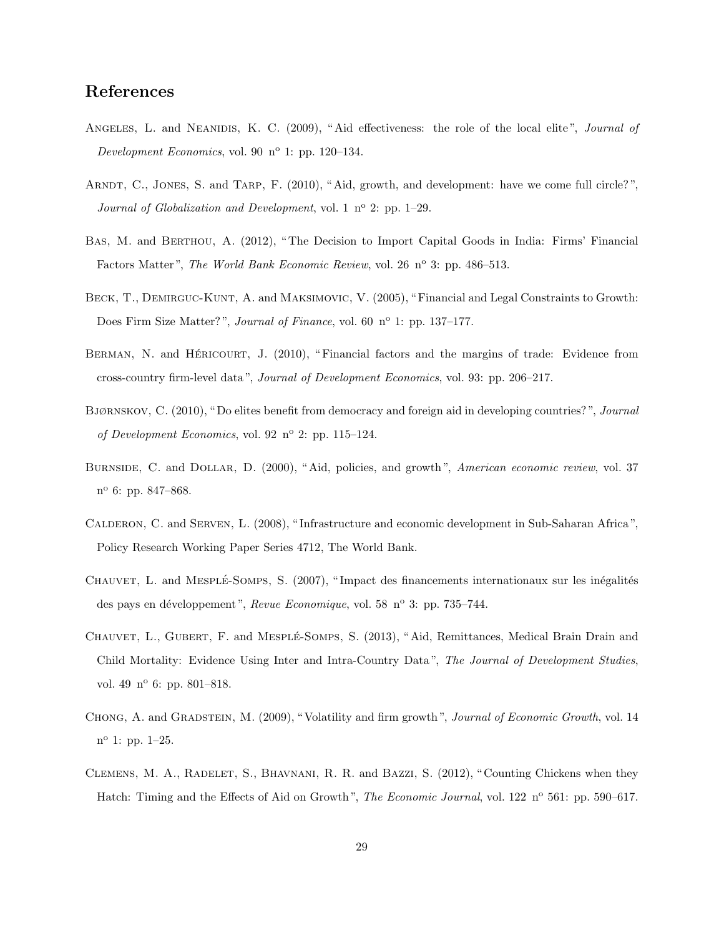# References

- ANGELES, L. and NEANIDIS, K. C. (2009), "Aid effectiveness: the role of the local elite", Journal of Development Economics, vol. 90  $n^{\circ}$  1: pp. 120–134.
- ARNDT, C., JONES, S. and TARP, F. (2010), "Aid, growth, and development: have we come full circle?", Journal of Globalization and Development, vol. 1  $n^{\circ}$  2: pp. 1–29.
- Bas, M. and Berthou, A. (2012), " The Decision to Import Capital Goods in India: Firms' Financial Factors Matter", The World Bank Economic Review, vol. 26 nº 3: pp. 486–513.
- BECK, T., DEMIRGUC-KUNT, A. and MAKSIMOVIC, V. (2005), "Financial and Legal Constraints to Growth: Does Firm Size Matter?", *Journal of Finance*, vol. 60 n<sup>o</sup> 1: pp. 137–177.
- BERMAN, N. and HÉRICOURT, J. (2010), "Financial factors and the margins of trade: Evidence from cross-country firm-level data ", Journal of Development Economics, vol. 93: pp. 206–217.
- Bjørnskov, C. (2010), " Do elites benefit from democracy and foreign aid in developing countries? ", Journal of Development Economics, vol. 92  $n^{\circ}$  2: pp. 115–124.
- BURNSIDE, C. and DOLLAR, D. (2000), "Aid, policies, and growth", American economic review, vol. 37 n <sup>o</sup> 6: pp. 847–868.
- Calderon, C. and Serven, L. (2008), " Infrastructure and economic development in Sub-Saharan Africa ", Policy Research Working Paper Series 4712, The World Bank.
- CHAUVET, L. and MESPLÉ-SOMPS, S. (2007), "Impact des financements internationaux sur les inégalités des pays en développement", Revue Economique, vol. 58 nº 3: pp. 735–744.
- CHAUVET, L., GUBERT, F. and MESPLÉ-SOMPS, S. (2013), "Aid, Remittances, Medical Brain Drain and Child Mortality: Evidence Using Inter and Intra-Country Data ", The Journal of Development Studies, vol. 49 nº 6: pp. 801-818.
- Chong, A. and Gradstein, M. (2009), " Volatility and firm growth ", Journal of Economic Growth, vol. 14 n <sup>o</sup> 1: pp. 1–25.
- Clemens, M. A., Radelet, S., Bhavnani, R. R. and Bazzi, S. (2012), " Counting Chickens when they Hatch: Timing and the Effects of Aid on Growth", *The Economic Journal*, vol. 122 n<sup>o</sup> 561: pp. 590–617.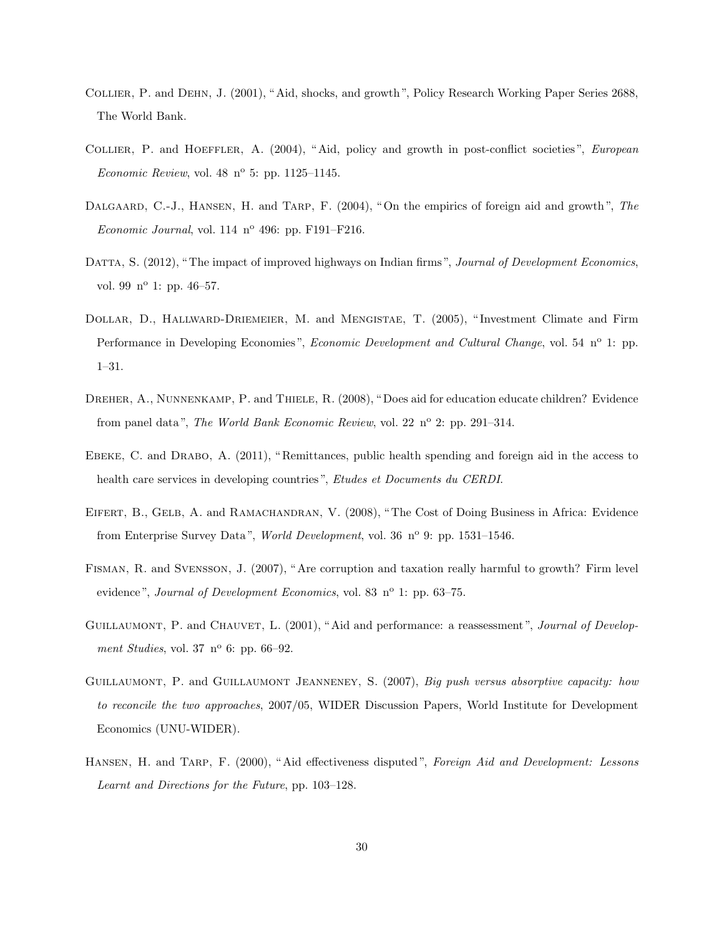- Collier, P. and Dehn, J. (2001), " Aid, shocks, and growth ", Policy Research Working Paper Series 2688, The World Bank.
- COLLIER, P. and HOEFFLER, A. (2004), "Aid, policy and growth in post-conflict societies", European Economic Review, vol. 48  $n^{\circ}$  5: pp. 1125–1145.
- DALGAARD, C.-J., HANSEN, H. and TARP, F. (2004), "On the empirics of foreign aid and growth", The Economic Journal, vol.  $114$  n°  $496$ : pp.  $F191-F216$ .
- DATTA, S. (2012), "The impact of improved highways on Indian firms", Journal of Development Economics, vol. 99  $n^{\circ}$  1: pp. 46–57.
- Dollar, D., Hallward-Driemeier, M. and Mengistae, T. (2005), " Investment Climate and Firm Performance in Developing Economies", *Economic Development and Cultural Change*, vol. 54 n<sup>o</sup> 1: pp. 1–31.
- DREHER, A., NUNNENKAMP, P. and THIELE, R. (2008), "Does aid for education educate children? Evidence from panel data", The World Bank Economic Review, vol. 22 n° 2: pp. 291-314.
- EBEKE, C. and DRABO, A. (2011), "Remittances, public health spending and foreign aid in the access to health care services in developing countries", Etudes et Documents du CERDI.
- EIFERT, B., GELB, A. and RAMACHANDRAN, V. (2008), "The Cost of Doing Business in Africa: Evidence from Enterprise Survey Data", World Development, vol. 36  $n^{\circ}$  9: pp. 1531–1546.
- Fisman, R. and Svensson, J. (2007), " Are corruption and taxation really harmful to growth? Firm level evidence", Journal of Development Economics, vol. 83 n<sup>o</sup> 1: pp. 63–75.
- GUILLAUMONT, P. and CHAUVET, L. (2001), "Aid and performance: a reassessment", Journal of Development Studies, vol. 37  $n^{\circ}$  6: pp. 66–92.
- GUILLAUMONT, P. and GUILLAUMONT JEANNENEY, S. (2007), Big push versus absorptive capacity: how to reconcile the two approaches, 2007/05, WIDER Discussion Papers, World Institute for Development Economics (UNU-WIDER).
- HANSEN, H. and TARP, F. (2000), "Aid effectiveness disputed", Foreign Aid and Development: Lessons Learnt and Directions for the Future, pp. 103–128.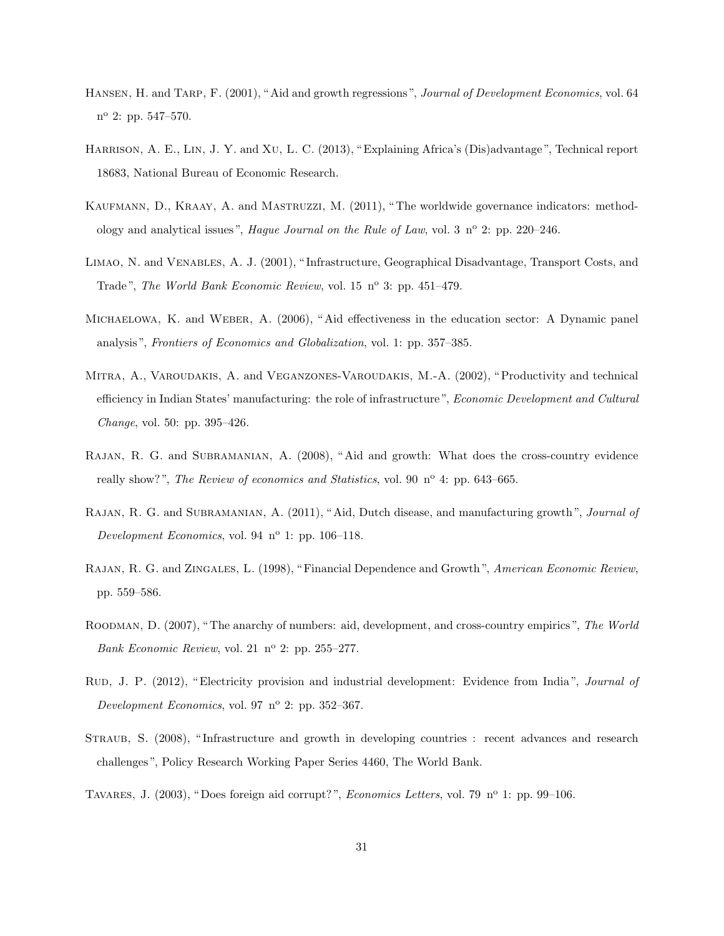- Hansen, H. and Tarp, F. (2001), " Aid and growth regressions ", Journal of Development Economics, vol. 64 n<sup>o</sup> 2: pp. 547–570.
- Harrison, A. E., Lin, J. Y. and Xu, L. C. (2013), " Explaining Africa's (Dis)advantage ", Technical report 18683, National Bureau of Economic Research.
- Kaufmann, D., Kraay, A. and Mastruzzi, M. (2011), " The worldwide governance indicators: methodology and analytical issues", *Haque Journal on the Rule of Law*, vol. 3  $n^{\circ}$  2: pp. 220–246.
- Limao, N. and Venables, A. J. (2001), " Infrastructure, Geographical Disadvantage, Transport Costs, and Trade", The World Bank Economic Review, vol. 15 nº 3: pp. 451–479.
- Michaelowa, K. and Weber, A. (2006), " Aid effectiveness in the education sector: A Dynamic panel analysis ", Frontiers of Economics and Globalization, vol. 1: pp. 357–385.
- Mitra, A., Varoudakis, A. and Veganzones-Varoudakis, M.-A. (2002), " Productivity and technical efficiency in Indian States' manufacturing: the role of infrastructure", Economic Development and Cultural Change, vol. 50: pp. 395–426.
- Rajan, R. G. and Subramanian, A. (2008), " Aid and growth: What does the cross-country evidence really show?", The Review of economics and Statistics, vol. 90  $\mathrm{n}^{\circ}$  4: pp. 643–665.
- RAJAN, R. G. and SUBRAMANIAN, A. (2011), "Aid, Dutch disease, and manufacturing growth", Journal of Development Economics, vol. 94  $n^{\circ}$  1: pp. 106–118.
- Rajan, R. G. and Zingales, L. (1998), " Financial Dependence and Growth ", American Economic Review, pp. 559–586.
- Roodman, D. (2007), " The anarchy of numbers: aid, development, and cross-country empirics ", The World Bank Economic Review, vol. 21  $n^{\circ}$  2: pp. 255–277.
- RUD, J. P. (2012), "Electricity provision and industrial development: Evidence from India", Journal of Development Economics, vol. 97  $n^{\circ}$  2: pp. 352–367.
- Straub, S. (2008), " Infrastructure and growth in developing countries : recent advances and research challenges ", Policy Research Working Paper Series 4460, The World Bank.
- TAVARES, J.  $(2003)$ , "Does foreign aid corrupt?", *Economics Letters*, vol. 79 n<sup>o</sup> 1: pp. 99–106.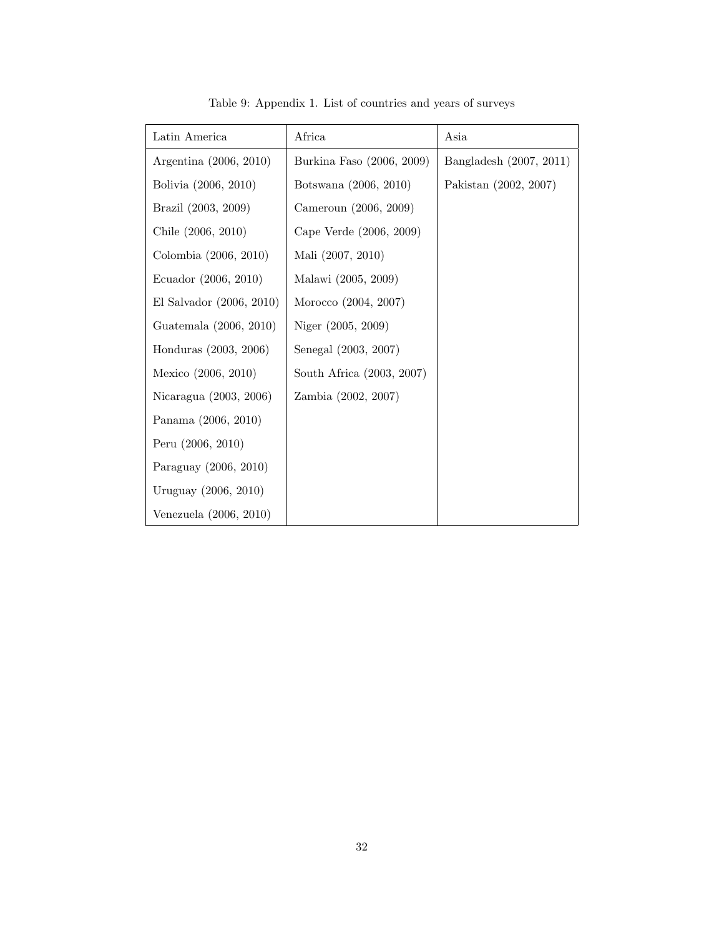| Latin America            | Africa                    | Asia                    |
|--------------------------|---------------------------|-------------------------|
| Argentina (2006, 2010)   | Burkina Faso (2006, 2009) | Bangladesh (2007, 2011) |
| Bolivia (2006, 2010)     | Botswana (2006, 2010)     | Pakistan (2002, 2007)   |
| Brazil (2003, 2009)      | Cameroun (2006, 2009)     |                         |
| Chile (2006, 2010)       | Cape Verde (2006, 2009)   |                         |
| Colombia (2006, 2010)    | Mali (2007, 2010)         |                         |
| Ecuador (2006, 2010)     | Malawi (2005, 2009)       |                         |
| El Salvador (2006, 2010) | Morocco (2004, 2007)      |                         |
| Guatemala (2006, 2010)   | Niger (2005, 2009)        |                         |
| Honduras (2003, 2006)    | Senegal (2003, 2007)      |                         |
| Mexico (2006, 2010)      | South Africa (2003, 2007) |                         |
| Nicaragua (2003, 2006)   | Zambia (2002, 2007)       |                         |
| Panama (2006, 2010)      |                           |                         |
| Peru (2006, 2010)        |                           |                         |
| Paraguay (2006, 2010)    |                           |                         |
| Uruguay (2006, 2010)     |                           |                         |
| Venezuela (2006, 2010)   |                           |                         |

Table 9: Appendix 1. List of countries and years of surveys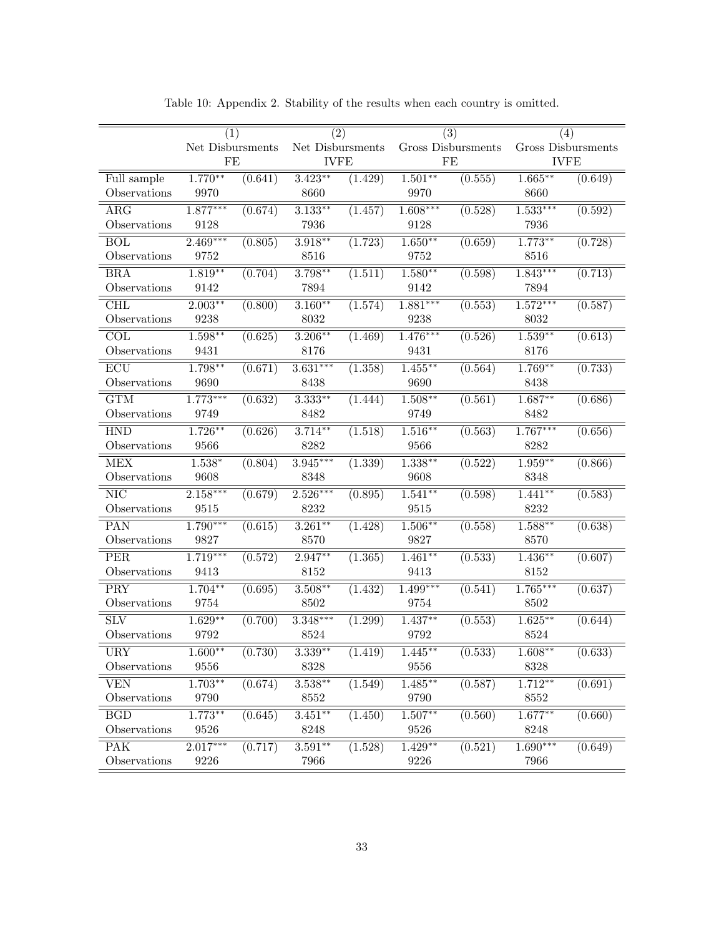|                           | (1)              |                      | $\overline{(2)}$ |         |            | $\overline{(3)}$     | (4)                |         |
|---------------------------|------------------|----------------------|------------------|---------|------------|----------------------|--------------------|---------|
|                           | Net Disbursments |                      | Net Disbursments |         |            | Gross Disbursments   | Gross Disbursments |         |
|                           | FE               |                      | <b>IVFE</b>      |         |            | FE                   | <b>IVFE</b>        |         |
| Full sample               | $1.770**$        | (0.641)              | $3.423**$        | (1.429) | $1.501***$ | (0.555)              | $1.665***$         | (0.649) |
| Observations              | 9970             |                      | 8660             |         | 9970       |                      | 8660               |         |
| $\overline{\text{ARG}}$   | $1.877***$       | (0.674)              | $3.133***$       | (1.457) | $1.608***$ | (0.528)              | $1.533***$         | (0.592) |
| Observations              | 9128             |                      | 7936             |         | 9128       |                      | 7936               |         |
| <b>BOL</b>                | $2.469***$       | (0.805)              | $3.918***$       | (1.723) | $1.650**$  | (0.659)              | $1.773**$          | (0.728) |
| Observations              | 9752             |                      | 8516             |         | 9752       |                      | 8516               |         |
| $\overline{\text{BRA}}$   | $1.819**$        | (0.704)              | $3.798***$       | (1.511) | $1.580**$  | (0.598)              | $1.843***$         | (0.713) |
| Observations              | 9142             |                      | 7894             |         | 9142       |                      | 7894               |         |
| <b>CHL</b>                | $2.003**$        | (0.800)              | $3.160**$        | (1.574) | $1.881***$ | (0.553)              | $1.572***$         | (0.587) |
| Observations              | 9238             |                      | 8032             |         | 9238       |                      | $8032\,$           |         |
| COL                       | $1.598***$       | (0.625)              | $3.206***$       | (1.469) | $1.476***$ | (0.526)              | $1.539**$          | (0.613) |
| Observations              | 9431             |                      | 8176             |         | 9431       |                      | 8176               |         |
| $\overline{\mathrm{ECU}}$ | $1.798**$        | (0.671)              | $3.631***$       | (1.358) | $1.455***$ | (0.564)              | $1.769**$          | (0.733) |
| Observations              | 9690             |                      | 8438             |         | 9690       |                      | 8438               |         |
| $\overline{\text{GTM}}$   | $1.773***$       | $\overline{(0.632)}$ | $3.333***$       | (1.444) | $1.508***$ | (0.561)              | $1.687**$          | (0.686) |
| Observations              | 9749             |                      | 8482             |         | 9749       |                      | 8482               |         |
| <b>HND</b>                | $1.726***$       | (0.626)              | $3.714***$       | (1.518) | $1.516***$ | $\overline{(0.563)}$ | $1.767***$         | (0.656) |
| Observations              | 9566             |                      | 8282             |         | 9566       |                      | 8282               |         |
| <b>MEX</b>                | $1.538*$         | (0.804)              | $3.945***$       | (1.339) | $1.338***$ | (0.522)              | $1.959**$          | (0.866) |
| Observations              | 9608             |                      | 8348             |         | 9608       |                      | 8348               |         |
| $\overline{\text{NIC}}$   | $2.158***$       | (0.679)              | $2.526***$       | (0.895) | $1.541**$  | (0.598)              | $1.441**$          | (0.583) |
| Observations              | 9515             |                      | 8232             |         | $9515\,$   |                      | 8232               |         |
| PAN                       | $1.790***$       | (0.615)              | $3.261***$       | (1.428) | $1.506***$ | (0.558)              | $1.588***$         | (0.638) |
| Observations              | 9827             |                      | 8570             |         | 9827       |                      | 8570               |         |
| <b>PER</b>                | $1.719***$       | $\overline{(0.572)}$ | $2.947**$        | (1.365) | $1.461**$  | $\overline{(0.533)}$ | $1.436***$         | (0.607) |
| Observations              | 9413             |                      | 8152             |         | 9413       |                      | $8152\,$           |         |
| PRY                       | $1.704**$        | (0.695)              | $3.508***$       | (1.432) | $1.499***$ | (0.541)              | $1.765***$         | (0.637) |
| Observations              | 9754             |                      | 8502             |         | 9754       |                      | 8502               |         |
| $\overline{\rm SLV}$      | $1.629**$        | (0.700)              | $3.348***$       | (1.299) | $1.437**$  | (0.553)              | $1.625**$          | (0.644) |
| Observations              | 9792             |                      | 8524             |         | 9792       |                      | 8524               |         |
| URY                       | $1.600**$        | (0.730)              | $3.339**$        | (1.419) | $1.445***$ | (0.533)              | $1.608***$         | (0.633) |
| Observations              | 9556             |                      | 8328             |         | 9556       |                      | 8328               |         |
| $\overline{\text{VEN}}$   | $1.703**$        | (0.674)              | $3.538***$       | (1.549) | $1.485***$ | (0.587)              | $1.712**$          | (0.691) |
| Observations              | 9790             |                      | 8552             |         | 9790       |                      | 8552               |         |
| $\overline{\mathrm{BGD}}$ | $1.773**$        | $\overline{(0.645)}$ | $3.451***$       | (1.450) | $1.507**$  | (0.560)              | $1.677***$         | (0.660) |
| Observations              | 9526             |                      | 8248             |         | 9526       |                      | 8248               |         |
| <b>PAK</b>                | $2.017***$       | (0.717)              | $3.591**$        | (1.528) | $1.429**$  | $\overline{(0.521)}$ | $1.690***$         | (0.649) |
| Observations              | 9226             |                      | 7966             |         | 9226       |                      | 7966               |         |

Table 10: Appendix 2. Stability of the results when each country is omitted.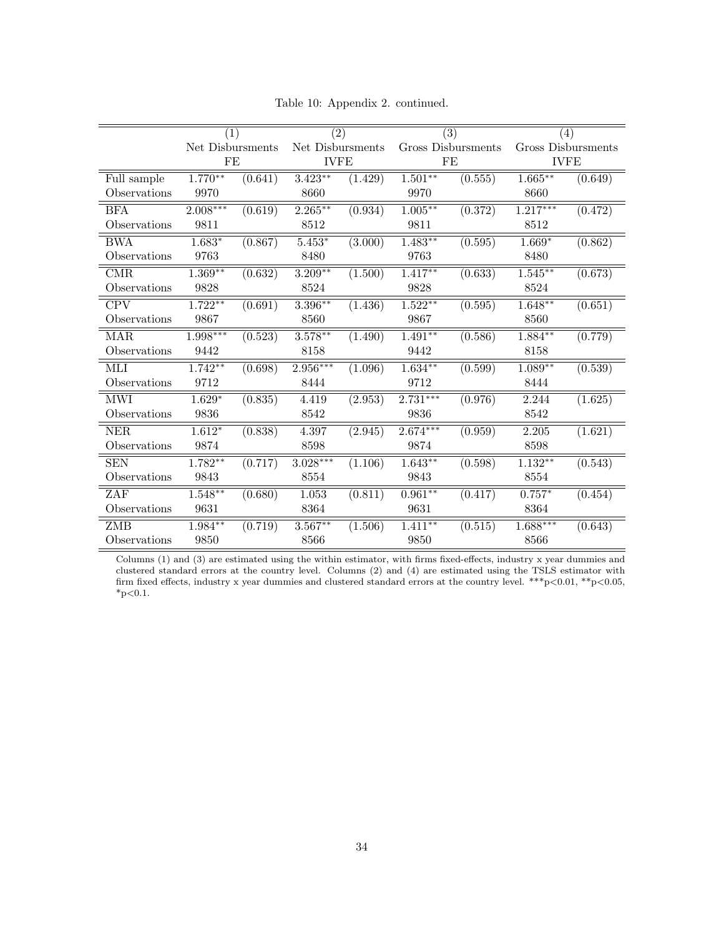|              | (1)              |         | (2)              |         |            | $\overline{(3)}$   | (4)                |         |
|--------------|------------------|---------|------------------|---------|------------|--------------------|--------------------|---------|
|              | Net Disbursments |         | Net Disbursments |         |            | Gross Disbursments | Gross Disbursments |         |
|              | FE               |         | <b>IVFE</b>      |         |            | FE                 | <b>IVFE</b>        |         |
| Full sample  | $1.770**$        | (0.641) | $3.423**$        | (1.429) | $1.501***$ | (0.555)            | $1.665***$         | (0.649) |
| Observations | 9970             |         | 8660             |         | 9970       |                    | 8660               |         |
| <b>BFA</b>   | $2.008***$       | (0.619) | $2.265***$       | (0.934) | $1.005***$ | (0.372)            | $1.217***$         | (0.472) |
| Observations | 9811             |         | 8512             |         | 9811       |                    | 8512               |         |
| <b>BWA</b>   | $1.683*$         | (0.867) | $5.453*$         | (3.000) | $1.483**$  | (0.595)            | $1.669*$           | (0.862) |
| Observations | 9763             |         | 8480             |         | 9763       |                    | 8480               |         |
| CMR.         | $1.369**$        | (0.632) | $3.209**$        | (1.500) | $1.417**$  | (0.633)            | $1.545***$         | (0.673) |
| Observations | 9828             |         | 8524             |         | 9828       |                    | 8524               |         |
| <b>CPV</b>   | $1.722**$        | (0.691) | $3.396***$       | (1.436) | $1.522**$  | (0.595)            | $1.648**$          | (0.651) |
| Observations | 9867             |         | 8560             |         | 9867       |                    | 8560               |         |
| <b>MAR</b>   | $1.998***$       | (0.523) | $3.578***$       | (1.490) | $1.491**$  | (0.586)            | $1.884**$          | (0.779) |
| Observations | 9442             |         | 8158             |         | 9442       |                    | 8158               |         |
| MЫ           | $1.742**$        | (0.698) | 2.956***         | (1.096) | $1.634**$  | (0.599)            | $1.089**$          | (0.539) |
| Observations | 9712             |         | 8444             |         | 9712       |                    | 8444               |         |
| <b>MWI</b>   | $1.629*$         | (0.835) | 4.419            | (2.953) | $2.731***$ | (0.976)            | 2.244              | (1.625) |
| Observations | 9836             |         | 8542             |         | 9836       |                    | 8542               |         |
| <b>NER</b>   | $1.612*$         | (0.838) | 4.397            | (2.945) | $2.674***$ | (0.959)            | 2.205              | (1.621) |
| Observations | 9874             |         | 8598             |         | 9874       |                    | 8598               |         |
| <b>SEN</b>   | $1.782**$        | (0.717) | $3.028***$       | (1.106) | $1.643**$  | (0.598)            | $1.132**$          | (0.543) |
| Observations | 9843             |         | 8554             |         | 9843       |                    | 8554               |         |
| ZAF          | $1.548**$        | (0.680) | 1.053            | (0.811) | $0.961**$  | (0.417)            | $0.757*$           | (0.454) |
| Observations | 9631             |         | 8364             |         | 9631       |                    | 8364               |         |
| ZMB          | $1.984**$        | (0.719) | $3.567**$        | (1.506) | $1.411***$ | (0.515)            | $1.688***$         | (0.643) |
| Observations | 9850             |         | 8566             |         | 9850       |                    | 8566               |         |

Table 10: Appendix 2. continued.

Columns (1) and (3) are estimated using the within estimator, with firms fixed-effects, industry x year dummies and clustered standard errors at the country level. Columns (2) and (4) are estimated using the TSLS estimator with firm fixed effects, industry x year dummies and clustered standard errors at the country level. \*\*\*p<0.01, \*\*p<0.05,  $^*\text{p}{<}0.1.$